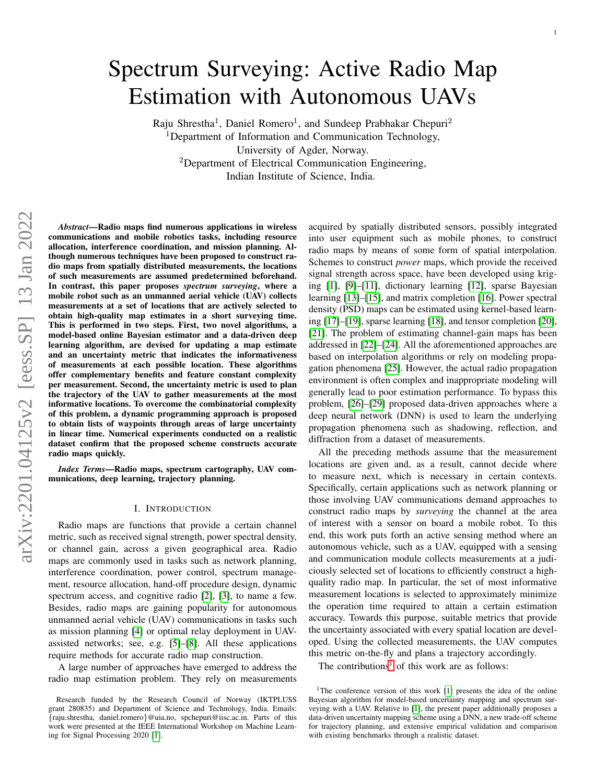# Spectrum Surveying: Active Radio Map Estimation with Autonomous UAVs

Raju Shrestha<sup>1</sup>, Daniel Romero<sup>1</sup>, and Sundeep Prabhakar Chepuri<sup>2</sup> <sup>1</sup>Department of Information and Communication Technology, University of Agder, Norway. <sup>2</sup>Department of Electrical Communication Engineering, Indian Institute of Science, India.

*Abstract*—Radio maps find numerous applications in wireless communications and mobile robotics tasks, including resource allocation, interference coordination, and mission planning. Although numerous techniques have been proposed to construct radio maps from spatially distributed measurements, the locations of such measurements are assumed predetermined beforehand. In contrast, this paper proposes *spectrum surveying*, where a mobile robot such as an unmanned aerial vehicle (UAV) collects measurements at a set of locations that are actively selected to obtain high-quality map estimates in a short surveying time. This is performed in two steps. First, two novel algorithms, a model-based online Bayesian estimator and a data-driven deep learning algorithm, are devised for updating a map estimate and an uncertainty metric that indicates the informativeness of measurements at each possible location. These algorithms offer complementary benefits and feature constant complexity per measurement. Second, the uncertainty metric is used to plan the trajectory of the UAV to gather measurements at the most informative locations. To overcome the combinatorial complexity of this problem, a dynamic programming approach is proposed to obtain lists of waypoints through areas of large uncertainty in linear time. Numerical experiments conducted on a realistic dataset confirm that the proposed scheme constructs accurate radio maps quickly.

*Index Terms*—Radio maps, spectrum cartography, UAV communications, deep learning, trajectory planning.

#### I. INTRODUCTION

Radio maps are functions that provide a certain channel metric, such as received signal strength, power spectral density, or channel gain, across a given geographical area. Radio maps are commonly used in tasks such as network planning, interference coordination, power control, spectrum management, resource allocation, hand-off procedure design, dynamic spectrum access, and cognitive radio [\[2\]](#page-12-0), [\[3\]](#page-12-1), to name a few. Besides, radio maps are gaining popularity for autonomous unmanned aerial vehicle (UAV) communications in tasks such as mission planning [\[4\]](#page-12-2) or optimal relay deployment in UAVassisted networks; see, e.g. [\[5\]](#page-12-3)–[\[8\]](#page-12-4). All these applications require methods for accurate radio map construction.

A large number of approaches have emerged to address the radio map estimation problem. They rely on measurements acquired by spatially distributed sensors, possibly integrated into user equipment such as mobile phones, to construct radio maps by means of some form of spatial interpolation. Schemes to construct *power* maps, which provide the received signal strength across space, have been developed using kriging [\[1\]](#page-12-5), [\[9\]](#page-12-6)–[\[11\]](#page-12-7), dictionary learning [\[12\]](#page-12-8), sparse Bayesian learning [\[13\]](#page-12-9)–[\[15\]](#page-12-10), and matrix completion [\[16\]](#page-12-11). Power spectral density (PSD) maps can be estimated using kernel-based learning [\[17\]](#page-12-12)–[\[19\]](#page-12-13), sparse learning [\[18\]](#page-12-14), and tensor completion [\[20\]](#page-12-15), [\[21\]](#page-12-16). The problem of estimating channel-gain maps has been addressed in [\[22\]](#page-12-17)–[\[24\]](#page-12-18). All the aforementioned approaches are based on interpolation algorithms or rely on modeling propagation phenomena [\[25\]](#page-12-19). However, the actual radio propagation environment is often complex and inappropriate modeling will generally lead to poor estimation performance. To bypass this problem, [\[26\]](#page-12-20)–[\[29\]](#page-12-21) proposed data-driven approaches where a deep neural network (DNN) is used to learn the underlying propagation phenomena such as shadowing, reflection, and diffraction from a dataset of measurements.

All the preceding methods assume that the measurement locations are given and, as a result, cannot decide where to measure next, which is necessary in certain contexts. Specifically, certain applications such as network planning or those involving UAV communications demand approaches to construct radio maps by *surveying* the channel at the area of interest with a sensor on board a mobile robot. To this end, this work puts forth an active sensing method where an autonomous vehicle, such as a UAV, equipped with a sensing and communication module collects measurements at a judiciously selected set of locations to efficiently construct a highquality radio map. In particular, the set of most informative measurement locations is selected to approximately minimize the operation time required to attain a certain estimation accuracy. Towards this purpose, suitable metrics that provide the uncertainty associated with every spatial location are developed. Using the collected measurements, the UAV computes this metric on-the-fly and plans a trajectory accordingly.

The contributions<sup>[1](#page-0-0)</sup> of this work are as follows:

Research funded by the Research Council of Norway (IKTPLUSS grant 280835) and Department of Science and Technology, India. Emails: {raju.shrestha, daniel.romero}@uia.no, spchepuri@iisc.ac.in. Parts of this work were presented at the IEEE International Workshop on Machine Learning for Signal Processing 2020 [\[1\]](#page-12-5).

<span id="page-0-0"></span><sup>&</sup>lt;sup>1</sup>The conference version of this work [\[1\]](#page-12-5) presents the idea of the online Bayesian algorithm for model-based uncertainty mapping and spectrum surveying with a UAV. Relative to [\[1\]](#page-12-5), the present paper additionally proposes a data-driven uncertainty mapping scheme using a DNN, a new trade-off scheme for trajectory planning, and extensive empirical validation and comparison with existing benchmarks through a realistic dataset.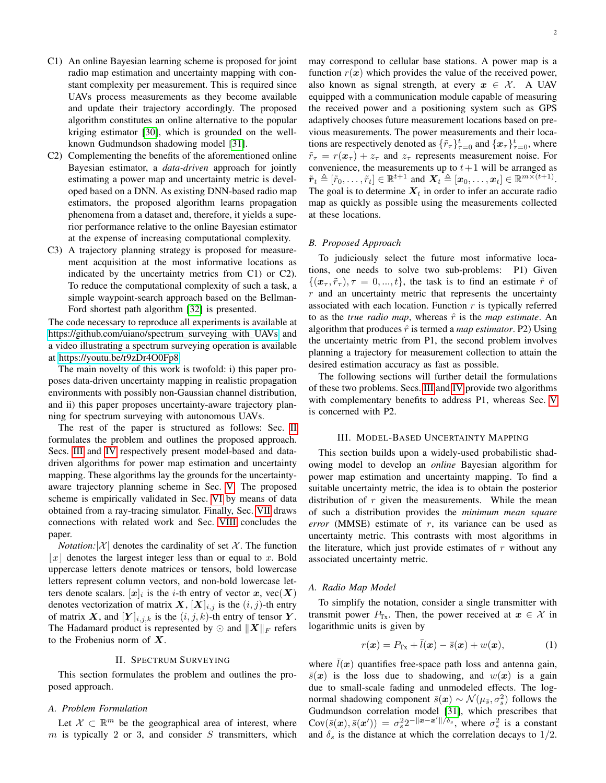- C1) An online Bayesian learning scheme is proposed for joint radio map estimation and uncertainty mapping with constant complexity per measurement. This is required since UAVs process measurements as they become available and update their trajectory accordingly. The proposed algorithm constitutes an online alternative to the popular kriging estimator [\[30\]](#page-12-22), which is grounded on the wellknown Gudmundson shadowing model [\[31\]](#page-12-23).
- C2) Complementing the benefits of the aforementioned online Bayesian estimator, a *data-driven* approach for jointly estimating a power map and uncertainty metric is developed based on a DNN. As existing DNN-based radio map estimators, the proposed algorithm learns propagation phenomena from a dataset and, therefore, it yields a superior performance relative to the online Bayesian estimator at the expense of increasing computational complexity.
- C3) A trajectory planning strategy is proposed for measurement acquisition at the most informative locations as indicated by the uncertainty metrics from C1) or C2). To reduce the computational complexity of such a task, a simple waypoint-search approach based on the Bellman-Ford shortest path algorithm [\[32\]](#page-12-24) is presented.

The code necessary to reproduce all experiments is available at [https://github.com/uiano/spectrum](https://github.com/uiano/spectrum_surveying_with_UAVs)\_surveying\_with\_UAVs and a video illustrating a spectrum surveying operation is available at [https://youtu.be/r9zDr4O0Fp8.](https://youtu.be/r9zDr4O0Fp8)

The main novelty of this work is twofold: i) this paper proposes data-driven uncertainty mapping in realistic propagation environments with possibly non-Gaussian channel distribution, and ii) this paper proposes uncertainty-aware trajectory planning for spectrum surveying with autonomous UAVs.

The rest of the paper is structured as follows: Sec. [II](#page-1-0) formulates the problem and outlines the proposed approach. Secs. [III](#page-1-1) and [IV](#page-3-0) respectively present model-based and datadriven algorithms for power map estimation and uncertainty mapping. These algorithms lay the grounds for the uncertaintyaware trajectory planning scheme in Sec. [V.](#page-6-0) The proposed scheme is empirically validated in Sec. [VI](#page-8-0) by means of data obtained from a ray-tracing simulator. Finally, Sec. [VII](#page-10-0) draws connections with related work and Sec. [VIII](#page-12-25) concludes the paper.

*Notation:* $|\mathcal{X}|$  denotes the cardinality of set X. The function  $|x|$  denotes the largest integer less than or equal to x. Bold uppercase letters denote matrices or tensors, bold lowercase letters represent column vectors, and non-bold lowercase letters denote scalars.  $[x]_i$  is the *i*-th entry of vector x, vec $(X)$ denotes vectorization of matrix  $X$ ,  $[X]_{i,j}$  is the  $(i, j)$ -th entry of matrix X, and  $[Y]_{i,j,k}$  is the  $(i, j, k)$ -th entry of tensor Y. The Hadamard product is represented by  $\odot$  and  $\|\boldsymbol{X}\|_F$  refers to the Frobenius norm of  $X$ .

# II. SPECTRUM SURVEYING

<span id="page-1-0"></span>This section formulates the problem and outlines the proposed approach.

#### *A. Problem Formulation*

Let  $\mathcal{X} \subset \mathbb{R}^m$  be the geographical area of interest, where  $m$  is typically 2 or 3, and consider  $S$  transmitters, which may correspond to cellular base stations. A power map is a function  $r(x)$  which provides the value of the received power, also known as signal strength, at every  $x \in \mathcal{X}$ . A UAV equipped with a communication module capable of measuring the received power and a positioning system such as GPS adaptively chooses future measurement locations based on previous measurements. The power measurements and their locations are respectively denoted as  $\{\tilde{r}_{\tau}\}_{\tau=0}^{t}$  and  $\{\boldsymbol{x}_{\tau}\}_{\tau=0}^{t}$ , where  $\tilde{r}_{\tau} = r(x_{\tau}) + z_{\tau}$  and  $z_{\tau}$  represents measurement noise. For convenience, the measurements up to  $t+1$  will be arranged as  $\tilde{\boldsymbol{r}}_t \triangleq [\tilde{r}_0, \ldots, \tilde{r}_t] \in \mathbb{R}^{t+1}$  and  $\boldsymbol{X}_t \triangleq [\boldsymbol{x}_0, \ldots, \boldsymbol{x}_t] \in \mathbb{R}^{m \times (t+1)}$ . The goal is to determine  $X_t$  in order to infer an accurate radio map as quickly as possible using the measurements collected at these locations.

# *B. Proposed Approach*

To judiciously select the future most informative locations, one needs to solve two sub-problems: P1) Given  $\{(\boldsymbol{x}_{\tau}, \tilde{r}_{\tau}), \tau = 0, ..., t\}$ , the task is to find an estimate  $\hat{r}$  of  $r$  and an uncertainty metric that represents the uncertainty associated with each location. Function  $r$  is typically referred to as the *true radio map*, whereas  $\hat{r}$  is the *map estimate*. An algorithm that produces  $\hat{r}$  is termed a *map estimator*. P2) Using the uncertainty metric from P1, the second problem involves planning a trajectory for measurement collection to attain the desired estimation accuracy as fast as possible.

The following sections will further detail the formulations of these two problems. Secs. [III](#page-1-1) and [IV](#page-3-0) provide two algorithms with complementary benefits to address P1, whereas Sec. [V](#page-6-0) is concerned with P2.

#### III. MODEL-BASED UNCERTAINTY MAPPING

<span id="page-1-1"></span>This section builds upon a widely-used probabilistic shadowing model to develop an *online* Bayesian algorithm for power map estimation and uncertainty mapping. To find a suitable uncertainty metric, the idea is to obtain the posterior distribution of  $r$  given the measurements. While the mean of such a distribution provides the *minimum mean square error* (MMSE) estimate of r, its variance can be used as uncertainty metric. This contrasts with most algorithms in the literature, which just provide estimates of  $r$  without any associated uncertainty metric.

# <span id="page-1-3"></span>*A. Radio Map Model*

To simplify the notation, consider a single transmitter with transmit power  $P_{Tx}$ . Then, the power received at  $x \in \mathcal{X}$  in logarithmic units is given by

<span id="page-1-2"></span>
$$
r(\boldsymbol{x}) = P_{\text{Tx}} + \bar{l}(\boldsymbol{x}) - \bar{s}(\boldsymbol{x}) + w(\boldsymbol{x}), \qquad (1)
$$

where  $l(x)$  quantifies free-space path loss and antenna gain,  $\bar{s}(\bm{x})$  is the loss due to shadowing, and  $w(\bm{x})$  is a gain due to small-scale fading and unmodeled effects. The lognormal shadowing component  $\bar{s}(x) \sim \mathcal{N}(\mu_{\bar{s}}, \sigma_s^2)$  follows the Gudmundson correlation model [\[31\]](#page-12-23), which prescribes that  $Cov(\bar{s}(\bm{x}), \bar{s}(\bm{x}')) = \sigma_s^2 2^{-\|\bm{x} - \bm{x}'\| \bar{\delta}_s}$ , where  $\sigma_s^2$  is a constant and  $\delta_s$  is the distance at which the correlation decays to 1/2.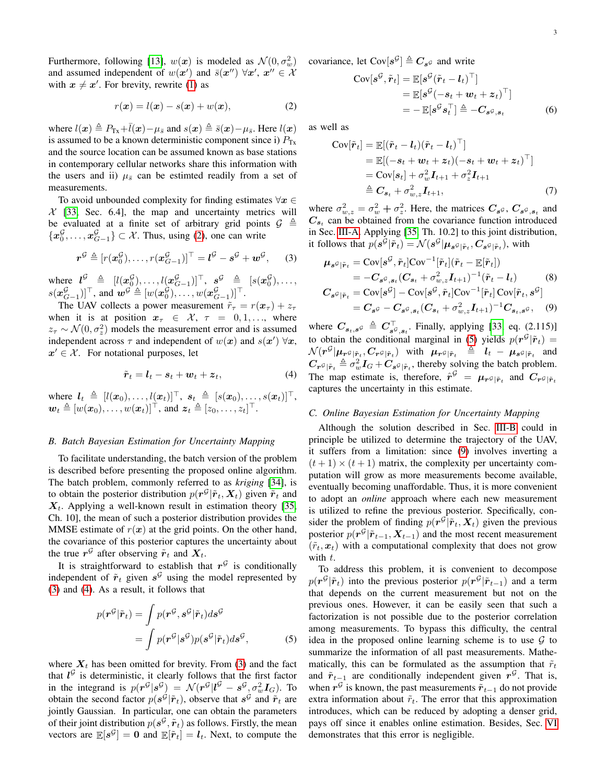Furthermore, following [\[13\]](#page-12-9),  $w(x)$  is modeled as  $\mathcal{N}(0, \sigma_w^2)$ and assumed independent of  $w(x')$  and  $\bar{s}(x'') \ \forall x', \ x'' \in \mathcal{X}$ with  $x \neq x'$ . For brevity, rewrite [\(1\)](#page-1-2) as

$$
r(\boldsymbol{x}) = l(\boldsymbol{x}) - s(\boldsymbol{x}) + w(\boldsymbol{x}), \tag{2}
$$

where  $l(x) \triangleq P_{Tx}+l(x)-\mu_{\bar{s}}$  and  $s(x) \triangleq \bar{s}(x)-\mu_{\bar{s}}$ . Here  $l(x)$ . is assumed to be a known deterministic component since i)  $P_{Tx}$ and the source location can be assumed known as base stations in contemporary cellular networks share this information with the users and ii)  $\mu_{\bar{s}}$  can be estimted readily from a set of measurements.

To avoid unbounded complexity for finding estimates  $\forall x \in$  $X$  [\[33,](#page-12-26) Sec. 6.4], the map and uncertainty metrics will be evaluated at a finite set of arbitrary grid points  $\mathcal{G} \triangleq$  ${x_0^{\mathcal{G}}}, \ldots, {x_{G-1}^{\mathcal{G}}} \subset \mathcal{X}$ . Thus, using [\(2\)](#page-2-0), one can write

$$
\boldsymbol{r}^{\mathcal{G}} \triangleq [r(\boldsymbol{x}_0^{\mathcal{G}}), \dots, r(\boldsymbol{x}_{G-1}^{\mathcal{G}})]^{\top} = \boldsymbol{l}^{\mathcal{G}} - \boldsymbol{s}^{\mathcal{G}} + \boldsymbol{w}^{\mathcal{G}},
$$
 (3)

where  $l^{\mathcal{G}} \triangleq [l(\boldsymbol{x}^{\mathcal{G}}_0), \ldots, l(\boldsymbol{x}^{\mathcal{G}}_{G-1})]^\top, \ \boldsymbol{s}^{\mathcal{G}} \triangleq [s(\boldsymbol{x}^{\mathcal{G}}_0), \ldots, s]$  $s(\boldsymbol{x}_{G-1}^{\mathcal{G}})]^{\top}$ , and  $\boldsymbol{w}^{\mathcal{G}} \triangleq [w(\boldsymbol{x}_0^{\mathcal{G}}), \ldots, w(\boldsymbol{x}_{G-1}^{\mathcal{G}})]^{\top}$ .

The UAV collects a power measurement  $\tilde{r}_{\tau} = r(\boldsymbol{x}_{\tau}) + z_{\tau}$ when it is at position  $x_{\tau} \in \mathcal{X}, \tau = 0, 1, \ldots$ , where  $z_{\tau} \sim \mathcal{N}(0, \sigma_z^2)$  models the measurement error and is assumed independent across  $\tau$  and independent of  $w(x)$  and  $s(x') \forall x$ ,  $x' \in \mathcal{X}$ . For notational purposes, let

$$
\tilde{\boldsymbol{r}}_t = \boldsymbol{l}_t - \boldsymbol{s}_t + \boldsymbol{w}_t + \boldsymbol{z}_t, \tag{4}
$$

where  $l_t \triangleq [l(x_0), \ldots, l(x_t)]^{\top}, s_t \triangleq [s(x_0), \ldots, s(x_t)]^{\top},$  $\boldsymbol{w}_t \triangleq [w(\boldsymbol{x}_0), \dots, w(\boldsymbol{x}_t)]^\top$ , and  $\boldsymbol{z}_t \triangleq [z_0, \dots, z_t]^\top$ .

# <span id="page-2-4"></span>*B. Batch Bayesian Estimation for Uncertainty Mapping*

To facilitate understanding, the batch version of the problem is described before presenting the proposed online algorithm. The batch problem, commonly referred to as *kriging* [\[34\]](#page-12-27), is to obtain the posterior distribution  $p(\mathbf{r}^{\mathcal{G}} | \tilde{\mathbf{r}}_t, \mathbf{X}_t)$  given  $\tilde{\mathbf{r}}_t$  and  $X_t$ . Applying a well-known result in estimation theory [\[35,](#page-12-28) Ch. 10], the mean of such a posterior distribution provides the MMSE estimate of  $r(x)$  at the grid points. On the other hand, the covariance of this posterior captures the uncertainty about the true  $r^{\mathcal{G}}$  after observing  $\tilde{r}_t$  and  $X_t$ .

It is straightforward to establish that  $r<sup>G</sup>$  is conditionally independent of  $\tilde{r}_t$  given  $s^{\mathcal{G}}$  using the model represented by [\(3\)](#page-2-1) and [\(4\)](#page-2-2). As a result, it follows that

$$
p(\mathbf{r}^{\mathcal{G}}|\tilde{\mathbf{r}}_{t}) = \int p(\mathbf{r}^{\mathcal{G}}, \mathbf{s}^{\mathcal{G}}|\tilde{\mathbf{r}}_{t}) d\mathbf{s}^{\mathcal{G}}
$$

$$
= \int p(\mathbf{r}^{\mathcal{G}}|\mathbf{s}^{\mathcal{G}}) p(\mathbf{s}^{\mathcal{G}}|\tilde{\mathbf{r}}_{t}) d\mathbf{s}^{\mathcal{G}}, \tag{5}
$$

where  $X_t$  has been omitted for brevity. From [\(3\)](#page-2-1) and the fact that  $l^{\mathcal{G}}$  is deterministic, it clearly follows that the first factor in the integrand is  $p(r^{\mathcal{G}}|s^{\mathcal{G}}) = \mathcal{N}(r^{\mathcal{G}}|l^{\mathcal{G}} - s^{\mathcal{G}}, \sigma_w^2 I_G)$ . To obtain the second factor  $p(s^{\mathcal{G}} | \tilde{r}_t)$ , observe that  $s^{\mathcal{G}}$  and  $\tilde{r}_t$  are jointly Gaussian. In particular, one can obtain the parameters of their joint distribution  $p(\mathbf{s}^{\mathcal{G}}, \tilde{\mathbf{r}}_t)$  as follows. Firstly, the mean vectors are  $\mathbb{E}[s^{\mathcal{G}}] = 0$  and  $\mathbb{E}[\tilde{r}_t] = l_t$ . Next, to compute the covariance, let Cov $[s^{\mathcal{G}}] \triangleq C_{s^{\mathcal{G}}}$  and write

$$
\text{Cov}[s^{\mathcal{G}}, \tilde{r}_t] = \mathbb{E}[s^{\mathcal{G}}(\tilde{r}_t - l_t)^\top] \n= \mathbb{E}[s^{\mathcal{G}}(-s_t + w_t + z_t)^\top] \n= - \mathbb{E}[s^{\mathcal{G}}s_t^\top] \triangleq -C_{s^{\mathcal{G}}, s_t}
$$
\n(6)

<span id="page-2-0"></span>as well as

$$
Cov[\tilde{r}_t] = \mathbb{E}[(\tilde{r}_t - l_t)(\tilde{r}_t - l_t)^{\top}]
$$
  
\n
$$
= \mathbb{E}[(-s_t + \mathbf{w}_t + z_t)(-s_t + \mathbf{w}_t + z_t)^{\top}]
$$
  
\n
$$
= Cov[s_t] + \sigma_w^2 I_{t+1} + \sigma_z^2 I_{t+1}
$$
  
\n
$$
\triangleq C_{s_t} + \sigma_{w,z}^2 I_{t+1},
$$
 (7)

where  $\sigma_{w,z}^2 = \sigma_w^2 + \sigma_z^2$ . Here, the matrices  $C_{s^{\mathcal{G}}}, C_{s^{\mathcal{G}}, s_t}$  and  $C_{s_t}$  can be obtained from the covariance function introduced in Sec. [III-A.](#page-1-3) Applying [\[35,](#page-12-28) Th. 10.2] to this joint distribution, it follows that  $p(s^{\mathcal{G}} | \tilde{r}_t) = \mathcal{N}(s^{\mathcal{G}} | \mu_{s^{\mathcal{G}} | \tilde{r}_t}, C_{s^{\mathcal{G}} | \tilde{r}_t}),$  with

<span id="page-2-5"></span><span id="page-2-1"></span>
$$
\mu_s \sigma_{|\tilde{r}_t} = \text{Cov}[s^{\mathcal{G}}, \tilde{r}_t] \text{Cov}^{-1}[\tilde{r}_t](\tilde{r}_t - \mathbb{E}[\tilde{r}_t]) \n= -C_{s^{\mathcal{G}}, s_t} (C_{s_t} + \sigma_{w,z}^2 I_{t+1})^{-1} (\tilde{r}_t - I_t) \n\qquad (8) \nC_{s^{\mathcal{G}}|\tilde{r}_t} = \text{Cov}[s^{\mathcal{G}}] - \text{Cov}[s^{\mathcal{G}}, \tilde{r}_t] \text{Cov}^{-1}[\tilde{r}_t] \text{Cov}[\tilde{r}_t, s^{\mathcal{G}}] \n= C_{s^{\mathcal{G}}} - C_{s^{\mathcal{G}}, s_t} (C_{s_t} + \sigma_{w,z}^2 I_{t+1})^{-1} C_{s_t, s^{\mathcal{G}}}, \n\qquad (9)
$$

<span id="page-2-2"></span>where  $C_{s_t,s_g} \triangleq C_{s^g,s_t}^{\top}$ . Finally, applying [\[33,](#page-12-26) eq. (2.115)] to obtain the conditional marginal in [\(5\)](#page-2-3) yields  $p(r^{\mathcal{G}}|\tilde{r}_t)$  =  $\mathcal{N}(r^{\mathcal{G}}|\mu_{r^{\mathcal{G}}|\tilde{r}_t},C_{r^{\mathcal{G}}|\tilde{r}_t})$  with  $\mu_{r^{\mathcal{G}}|\tilde{r}_t} \triangleq l_t - \mu_{s^{\mathcal{G}}|\tilde{r}_t}$  and  $C_{r^{\mathcal{G}}|\tilde{r}_t} \triangleq \sigma_w^2 I_G + C_{s^{\mathcal{G}}|\tilde{r}_t}$ , thereby solving the batch problem. The map estimate is, therefore,  $\hat{r}^{\mathcal{G}} = \mu_{r^{\mathcal{G}}|\tilde{r}_t}$  and  $C_{r^{\mathcal{G}}|\tilde{r}_t}$ captures the uncertainty in this estimate.

# <span id="page-2-6"></span>*C. Online Bayesian Estimation for Uncertainty Mapping*

Although the solution described in Sec. [III-B](#page-2-4) could in principle be utilized to determine the trajectory of the UAV, it suffers from a limitation: since [\(9\)](#page-2-5) involves inverting a  $(t+1) \times (t+1)$  matrix, the complexity per uncertainty computation will grow as more measurements become available, eventually becoming unaffordable. Thus, it is more convenient to adopt an *online* approach where each new measurement is utilized to refine the previous posterior. Specifically, consider the problem of finding  $p(\mathbf{r}^{\mathcal{G}} | \tilde{\mathbf{r}}_t, \mathbf{X}_t)$  given the previous posterior  $p(\mathbf{r}^{\mathcal{G}} | \tilde{\mathbf{r}}_{t-1}, \mathbf{X}_{t-1})$  and the most recent measurement  $(\tilde{r}_t, x_t)$  with a computational complexity that does not grow with  $t$ .

<span id="page-2-3"></span>To address this problem, it is convenient to decompose  $p(\mathbf{r}^{\mathcal{G}} | \tilde{\mathbf{r}}_t)$  into the previous posterior  $p(\mathbf{r}^{\mathcal{G}} | \tilde{\mathbf{r}}_{t-1})$  and a term that depends on the current measurement but not on the previous ones. However, it can be easily seen that such a factorization is not possible due to the posterior correlation among measurements. To bypass this difficulty, the central idea in the proposed online learning scheme is to use  $G$  to summarize the information of all past measurements. Mathematically, this can be formulated as the assumption that  $\tilde{r}_t$ and  $\tilde{r}_{t-1}$  are conditionally independent given  $r^{\mathcal{G}}$ . That is, when  $r^{\mathcal{G}}$  is known, the past measurements  $\tilde{r}_{t-1}$  do not provide extra information about  $\tilde{r}_t$ . The error that this approximation introduces, which can be reduced by adopting a denser grid, pays off since it enables online estimation. Besides, Sec. [VI](#page-8-0) demonstrates that this error is negligible.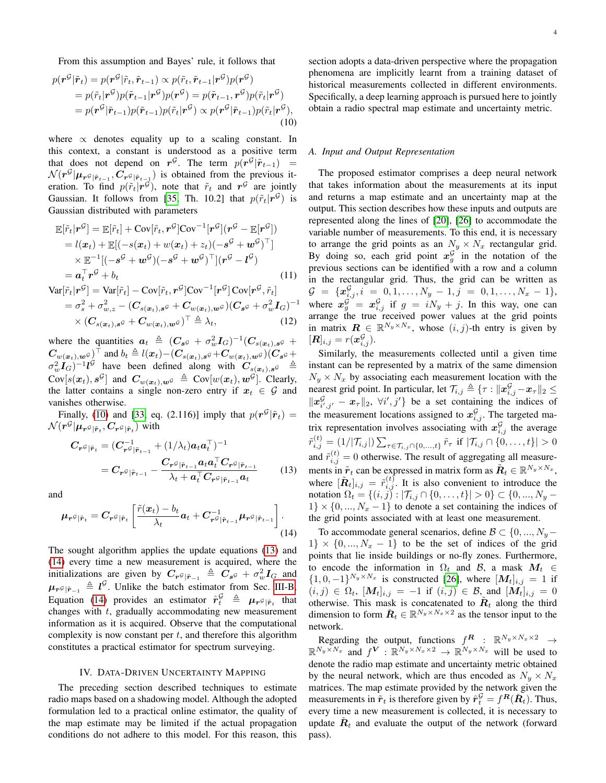From this assumption and Bayes' rule, it follows that

$$
p(\mathbf{r}^{\mathcal{G}}|\tilde{\mathbf{r}}_{t}) = p(\mathbf{r}^{\mathcal{G}}|\tilde{r}_{t}, \tilde{\mathbf{r}}_{t-1}) \propto p(\tilde{r}_{t}, \tilde{\mathbf{r}}_{t-1}|\mathbf{r}^{\mathcal{G}})p(\mathbf{r}^{\mathcal{G}})
$$
  
\n
$$
= p(\tilde{r}_{t}|\mathbf{r}^{\mathcal{G}})p(\tilde{\mathbf{r}}_{t-1}|\mathbf{r}^{\mathcal{G}})p(\mathbf{r}^{\mathcal{G}}) = p(\tilde{\mathbf{r}}_{t-1}, \mathbf{r}^{\mathcal{G}})p(\tilde{r}_{t}|\mathbf{r}^{\mathcal{G}})
$$
  
\n
$$
= p(\mathbf{r}^{\mathcal{G}}|\tilde{\mathbf{r}}_{t-1})p(\tilde{\mathbf{r}}_{t-1})p(\tilde{r}_{t}|\mathbf{r}^{\mathcal{G}}) \propto p(\mathbf{r}^{\mathcal{G}}|\tilde{\mathbf{r}}_{t-1})p(\tilde{r}_{t}|\mathbf{r}^{\mathcal{G}}),
$$
\n(10)

where  $\propto$  denotes equality up to a scaling constant. In this context, a constant is understood as a positive term that does not depend on  $r^{\mathcal{G}}$ . The term  $p(r^{\mathcal{G}}|\tilde{r}_{t-1})$  =  $\mathcal{N}(r^{\mathcal{G}}|\mu_{r^{\mathcal{G}}|\tilde{r}_{t-1}},C_{r^{\mathcal{G}}|\tilde{r}_{t-1}})$  is obtained from the previous iteration. To find  $p(\tilde{r}_t|\tilde{r}^{\mathcal{G}})$ , note that  $\tilde{r}_t$  and  $r^{\mathcal{G}}$  are jointly Gaussian. It follows from [\[35,](#page-12-28) Th. 10.2] that  $p(\tilde{r}_t|\mathbf{r}^{\mathcal{G}})$  is Gaussian distributed with parameters

$$
\mathbb{E}[\tilde{r}_t|\boldsymbol{r}^{\mathcal{G}}] = \mathbb{E}[\tilde{r}_t] + \text{Cov}[\tilde{r}_t, \boldsymbol{r}^{\mathcal{G}}] \text{Cov}^{-1}[\boldsymbol{r}^{\mathcal{G}}] (\boldsymbol{r}^{\mathcal{G}} - \mathbb{E}[\boldsymbol{r}^{\mathcal{G}}]) \n= l(\boldsymbol{x}_t) + \mathbb{E}[(-s(\boldsymbol{x}_t) + w(\boldsymbol{x}_t) + z_t)(-s^{\mathcal{G}} + \boldsymbol{w}^{\mathcal{G}})^{\top}] \n\times \mathbb{E}^{-1}[(-s^{\mathcal{G}} + \boldsymbol{w}^{\mathcal{G}})(-s^{\mathcal{G}} + \boldsymbol{w}^{\mathcal{G}})^{\top}](\boldsymbol{r}^{\mathcal{G}} - l^{\mathcal{G}}) \n= a_t^{\top} \boldsymbol{r}^{\mathcal{G}} + b_t
$$
\n(11)\n
$$
\text{Var}[\tilde{r}_t|\boldsymbol{r}^{\mathcal{G}}] = \text{Var}[\tilde{r}_t] - \text{Cov}[\tilde{r}_t, \boldsymbol{r}^{\mathcal{G}}] \text{Cov}^{-1}[\boldsymbol{r}^{\mathcal{G}}] \text{Cov}[\boldsymbol{r}^{\mathcal{G}}, \tilde{r}_t]
$$

$$
\mathbf{v}_{\mathbf{a}}[t_{t}] = \mathbf{v}_{\mathbf{a}}[t_{t}] - \mathbf{C}\mathbf{v}_{t}[t_{t}, \mathbf{r}] - \mathbf{C}\mathbf{v}_{t}[t_{t}, \mathbf{r}] - \mathbf{C}\mathbf{v}_{t}[t_{t}, \mathbf{r}] - \mathbf{C}\mathbf{v}_{t}[t_{t}, \mathbf{r}] - \mathbf{C}\mathbf{v}_{t}[t_{t}, \mathbf{r}] - \mathbf{C}\mathbf{v}_{t}[t_{t}, \mathbf{r}] - \mathbf{C}\mathbf{v}_{t}[t_{t}, \mathbf{r}] - \mathbf{C}\mathbf{v}_{t}[t_{t}, \mathbf{r}] - \mathbf{C}\mathbf{v}_{t}[t_{t}, \mathbf{r}] - \mathbf{C}\mathbf{v}_{t}[t_{t}, \mathbf{r}] - \mathbf{C}\mathbf{v}_{t}[t_{t}, \mathbf{r}] - \mathbf{C}\mathbf{v}_{t}[t_{t}, \mathbf{r}] - \mathbf{C}\mathbf{v}_{t}[t_{t}, \mathbf{r}] - \mathbf{C}\mathbf{v}_{t}[t_{t}, \mathbf{r}] - \mathbf{C}\mathbf{v}_{t}[t_{t}, \mathbf{r}] - \mathbf{C}\mathbf{v}_{t}[t_{t}, \mathbf{r}] - \mathbf{C}\mathbf{v}_{t}[t_{t}, \mathbf{r}] - \mathbf{C}\mathbf{v}_{t}[t_{t}, \mathbf{r}] - \mathbf{C}\mathbf{v}_{t}[t_{t}, \mathbf{r}] - \mathbf{C}\mathbf{v}_{t}[t_{t}, \mathbf{r}] - \mathbf{C}\mathbf{v}_{t}[t_{t}, \mathbf{r}] - \mathbf{C}\mathbf{v}_{t}[t_{t}, \mathbf{r}] - \mathbf{C}\mathbf{v}_{t}[t_{t}, \mathbf{r}] - \mathbf{C}\mathbf{v}_{t}[t_{t}, \mathbf{r}] - \mathbf{C}\mathbf{v}_{t}[t_{t}, \mathbf{r}] - \mathbf{C}\mathbf{v}_{t}[t_{t}, \mathbf{r}] - \mathbf{C}\mathbf{v}_{t}[t_{t}, \mathbf{r}] - \mathbf{C}\mathbf{v}_{t}[t_{t}, \mathbf{r}] - \mathbf{C}\mathbf{v}_{t}[t_{t}, \mathbf{r}] - \mathbf{C}\mathbf{v}_{t}[t_{t}, \mathbf{r}] - \mathbf{
$$

where the quantities  $a_t \triangleq (C_{s^{\mathcal{G}}} + \sigma_w^2 I_G)^{-1} (C_{s(x_t),s^{\mathcal{G}}} +$  $(\bm{C}_{w(\bm{x}_t),\bm{w}^{\mathcal{G}}})^{\top}$  and  $b_t \triangleq l(\bm{x}_t)-(\bm{C}_{s(\bm{x}_t),\bm{s}^{\mathcal{G}}}+\bm{C}_{w(\bm{x}_t),\bm{w}^{\mathcal{G}}})(\bm{C}_{\bm{s}^{\mathcal{G}}}+\bm{c}_{\bm{s}^{\mathcal{G}}})$  $(\sigma_w^2 I_G)^{-1} l^{\mathcal{G}}$  have been defined along with  $C_{s(x_t),s^{\mathcal{G}}} \triangleq$  $Cov[s(\boldsymbol{x}_t), s^{\mathcal{G}}]$  and  $\boldsymbol{C}_{w(\boldsymbol{x}_t), \boldsymbol{w}^{\mathcal{G}}} \triangleq Cov[w(\boldsymbol{x}_t), \boldsymbol{w}^{\mathcal{G}}]$ . Clearly, the latter contains a single non-zero entry if  $x_t \in \mathcal{G}$  and vanishes otherwise.

Finally, [\(10\)](#page-3-1) and [\[33,](#page-12-26) eq. (2.116)] imply that  $p(r^{\mathcal{G}}|\tilde{r}_t)$  =  $\mathcal{N} ( \bm{r}^{\mathcal{G}} | \bm{\mu}_{\bm{r}^{\mathcal{G}} | \tilde{\bm{r}}_t }, \bm{C}_{\bm{r}^{\mathcal{G}} | \tilde{\bm{r}}_t} )$  with

$$
C_{r^{\mathcal{G}}|\tilde{r}_t} = (C_{r^{\mathcal{G}}|\tilde{r}_{t-1}}^{-1} + (1/\lambda_t)a_t a_t^{\top})^{-1}
$$
  
= 
$$
C_{r^{\mathcal{G}}|\tilde{r}_{t-1}} - \frac{C_{r^{\mathcal{G}}|\tilde{r}_{t-1}}a_t a_t^{\top} C_{r^{\mathcal{G}}|\tilde{r}_{t-1}}}{\lambda_t + a_t^{\top} C_{r^{\mathcal{G}}|\tilde{r}_{t-1}} a_t} \qquad (13)
$$

and

$$
\mu_{\boldsymbol{r}^{\mathcal{G}}|\tilde{r}_t} = C_{\boldsymbol{r}^{\mathcal{G}}|\tilde{r}_t} \left[ \frac{\tilde{r}(x_t) - b_t}{\lambda_t} a_t + C_{\boldsymbol{r}^{\mathcal{G}}|\tilde{r}_{t-1}}^{-1} \mu_{\boldsymbol{r}^{\mathcal{G}}|\tilde{r}_{t-1}} \right].
$$
\n(14)

The sought algorithm applies the update equations [\(13\)](#page-3-2) and [\(14\)](#page-3-3) every time a new measurement is acquired, where the initializations are given by  $C_r s_{|\tilde{r}-1} \triangleq \tilde{C}_s s + \sigma_w^2 I_G$  and  $\mu_{r^{\mathcal{G}}|\tilde{r}_{-1}} \triangleq l^{\mathcal{G}}$ . Unlike the batch estimator from Sec. [III-B,](#page-2-4) Equation [\(14\)](#page-3-3) provides an estimator  $\hat{r}_t^{\mathcal{G}} \triangleq \mu_r \mathcal{G}_{|\tilde{r}_t}$  that changes with  $t$ , gradually accommodating new measurement information as it is acquired. Observe that the computational complexity is now constant per  $t$ , and therefore this algorithm constitutes a practical estimator for spectrum surveying.

#### IV. DATA-DRIVEN UNCERTAINTY MAPPING

<span id="page-3-0"></span>The preceding section described techniques to estimate radio maps based on a shadowing model. Although the adopted formulation led to a practical online estimator, the quality of the map estimate may be limited if the actual propagation conditions do not adhere to this model. For this reason, this section adopts a data-driven perspective where the propagation phenomena are implicitly learnt from a training dataset of historical measurements collected in different environments. Specifically, a deep learning approach is pursued here to jointly obtain a radio spectral map estimate and uncertainty metric.

# <span id="page-3-4"></span><span id="page-3-1"></span>*A. Input and Output Representation*

The proposed estimator comprises a deep neural network that takes information about the measurements at its input and returns a map estimate and an uncertainty map at the output. This section describes how these inputs and outputs are represented along the lines of [\[20\]](#page-12-15), [\[26\]](#page-12-20) to accommodate the variable number of measurements. To this end, it is necessary to arrange the grid points as an  $N_y \times N_x$  rectangular grid. By doing so, each grid point  $x_g^{\mathcal{G}}$  in the notation of the previous sections can be identified with a row and a column in the rectangular grid. Thus, the grid can be written as  $\mathcal{G} \;=\; \{\boldsymbol{x}^{\mathcal{G}}_{i,j}, i \;=\; 0, 1, \ldots, N_y \,-\, 1, j \;=\; 0, 1, \ldots, N_x \,-\, 1\},$ where  $x_g^{\mathcal{G}} = x_{i,j}^{\mathcal{G}}$  if  $g = iN_y + j$ . In this way, one can arrange the true received power values at the grid points in matrix  $\mathbf{R} \in \mathbb{R}^{N_y \times N_x}$ , whose  $(i, j)$ -th entry is given by  $[\boldsymbol{R}]_{i,j} = r(\boldsymbol{x}_{i,j}^{\mathcal{G}}).$ 

Similarly, the measurements collected until a given time instant can be represented by a matrix of the same dimension  $N_u \times N_x$  by associating each measurement location with the nearest grid point. In particular, let  $\mathcal{T}_{i,j} \triangleq \{\tau : \|x_{i,j}^{\mathcal{G}} - x_{\tau}\|_2 \leq \tau\}$  $||x_{i',j'}^{\mathcal{G}} - x_{\tau}||_2$ ,  $\forall i',j'\}$  be a set containing the indices of the measurement locations assigned to  $x_{i,j}^{\mathcal{G}}$ . The targeted matrix representation involves associating with  $x_{i,j}^{\mathcal{G}}$  the average  $\tilde{r}_{i,j}^{(t)} = (1/|\mathcal{T}_{i,j}|) \sum_{\tau \in \mathcal{T}_{i,j} \cap \{0,...,t\}} \tilde{r}_{\tau} \, \, \text{if} \, \, |\mathcal{T}_{i,j} \cap \{0,\dots,t\}| > 0$ and  $\tilde{r}_{i,j}^{(t)} = 0$  otherwise. The result of aggregating all measurements in  $\tilde{\boldsymbol{r}}_t$  can be expressed in matrix form as  $\tilde{\boldsymbol{R}}_t \in \mathbb{R}^{N_y \times N_x}$ , where  $[\tilde{R}_t]_{i,j} = \tilde{r}_{i,j}^{(t)}$ . It is also convenient to introduce the notation  $\Omega_t = \{(i, j) : |\mathcal{T}_{i,j} \cap \{0, \ldots, t\}| > 0\} \subset \{0, \ldots, N_y - 1\}$  $1\} \times \{0, ..., N_x - 1\}$  to denote a set containing the indices of the grid points associated with at least one measurement.

<span id="page-3-3"></span><span id="page-3-2"></span>To accommodate general scenarios, define  $\mathcal{B} \subset \{0, ..., N_y - \}$  $1\} \times \{0, ..., N_x - 1\}$  to be the set of indices of the grid points that lie inside buildings or no-fly zones. Furthermore, to encode the information in  $\Omega_t$  and B, a mask  $M_t \in$  $\{1,0,-1\}^{N_y \times N_x}$  is constructed [\[26\]](#page-12-20), where  $[M_t]_{i,j} = 1$  if  $(i, j) \in \Omega_t$ ,  $[M_t]_{i,j} = -1$  if  $(i, j) \in \mathcal{B}$ , and  $[M_t]_{i,j} = 0$ otherwise. This mask is concatenated to  $\tilde{R}_t$  along the third dimension to form  $\check{R}_t \in \mathbb{R}^{N_y \times N_x \times 2}$  as the tensor input to the network.

Regarding the output, functions  $f^{\mathbf{R}}$  :  $\mathbb{R}^{N_y \times N_x \times 2}$   $\rightarrow$  $\mathbb{R}^{N_y \times N_x}$  and  $f^V : \mathbb{R}^{N_y \times N_x \times 2} \to \mathbb{R}^{N_y \times N_x}$  will be used to denote the radio map estimate and uncertainty metric obtained by the neural network, which are thus encoded as  $N_y \times N_x$ matrices. The map estimate provided by the network given the measurements in  $\tilde{r}_t$  is therefore given by  $\hat{r}_t^{\mathcal{G}} = f^{\mathbf{R}}(\check{\mathbf{R}_t})$ . Thus, every time a new measurement is collected, it is necessary to update  $\check{R}_t$  and evaluate the output of the network (forward pass).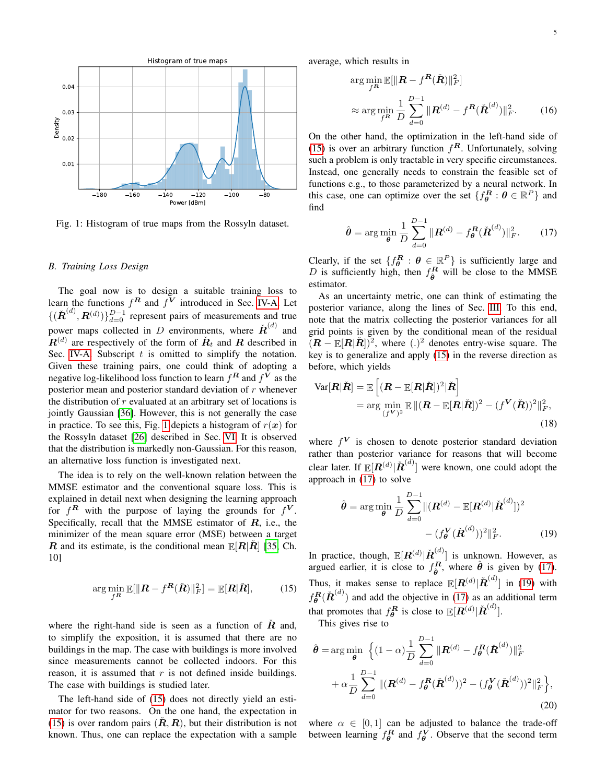<span id="page-4-0"></span>

Fig. 1: Histogram of true maps from the Rossyln dataset.

### <span id="page-4-5"></span>*B. Training Loss Design*

The goal now is to design a suitable training loss to learn the functions  $f^R$  and  $f^V$  introduced in Sec. [IV-A.](#page-3-4) Let  $\{(\check{\boldsymbol{R}}^{(d)}, \boldsymbol{R}^{(d)})\}_{d=0}^{D-1}$  represent pairs of measurements and true power maps collected in D environments, where  $\tilde{R}^{(d)}$  and  $\mathbf{R}^{(d)}$  are respectively of the form of  $\mathbf{R}_t$  and  $\mathbf{R}$  described in Sec. [IV-A.](#page-3-4) Subscript  $t$  is omitted to simplify the notation. Given these training pairs, one could think of adopting a negative log-likelihood loss function to learn  $f^{\boldsymbol{R}}$  and  $f^{\boldsymbol{V}}$  as the posterior mean and posterior standard deviation of  $r$  whenever the distribution of  $r$  evaluated at an arbitrary set of locations is jointly Gaussian [\[36\]](#page-12-29). However, this is not generally the case in practice. To see this, Fig. [1](#page-4-0) depicts a histogram of  $r(x)$  for the Rossyln dataset [\[26\]](#page-12-20) described in Sec. [VI.](#page-8-0) It is observed that the distribution is markedly non-Gaussian. For this reason, an alternative loss function is investigated next.

The idea is to rely on the well-known relation between the MMSE estimator and the conventional square loss. This is explained in detail next when designing the learning approach for  $f^R$  with the purpose of laying the grounds for  $f^V$ . Specifically, recall that the MMSE estimator of  $R$ , i.e., the minimizer of the mean square error (MSE) between a target R and its estimate, is the conditional mean  $E[R|R]$  [\[35,](#page-12-28) Ch. 10]

$$
\arg\min_{f^{\mathbf{R}}} \mathbb{E}[\|\mathbf{R} - f^{\mathbf{R}}(\check{\mathbf{R}})\|_{F}^{2}] = \mathbb{E}[\mathbf{R}|\check{\mathbf{R}}],\tag{15}
$$

where the right-hand side is seen as a function of  $\dot{R}$  and, to simplify the exposition, it is assumed that there are no buildings in the map. The case with buildings is more involved since measurements cannot be collected indoors. For this reason, it is assumed that  $r$  is not defined inside buildings. The case with buildings is studied later.

The left-hand side of [\(15\)](#page-4-1) does not directly yield an estimator for two reasons. On the one hand, the expectation in [\(15\)](#page-4-1) is over random pairs  $(\tilde{R}, R)$ , but their distribution is not known. Thus, one can replace the expectation with a sample average, which results in

$$
\arg\min_{f^R} \mathbb{E}[\|\boldsymbol{R} - f^{\boldsymbol{R}}(\check{\boldsymbol{R}})\|_F^2]
$$
\n
$$
\approx \arg\min_{f^R} \frac{1}{D} \sum_{d=0}^{D-1} \|\boldsymbol{R}^{(d)} - f^{\boldsymbol{R}}(\check{\boldsymbol{R}}^{(d)})\|_F^2. \tag{16}
$$

On the other hand, the optimization in the left-hand side of [\(15\)](#page-4-1) is over an arbitrary function  $f^R$ . Unfortunately, solving such a problem is only tractable in very specific circumstances. Instead, one generally needs to constrain the feasible set of functions e.g., to those parameterized by a neural network. In this case, one can optimize over the set  $\{f_{\theta}^{\mathbf{R}} : \theta \in \mathbb{R}^P\}$  and find

<span id="page-4-2"></span>
$$
\hat{\theta} = \arg\min_{\theta} \frac{1}{D} \sum_{d=0}^{D-1} \|\mathbf{R}^{(d)} - f_{\theta}^{\mathbf{R}}(\check{\mathbf{R}}^{(d)})\|_{F}^{2}.
$$
 (17)

Clearly, if the set  $\{f_{\theta}^R : \theta \in \mathbb{R}^P\}$  is sufficiently large and D is sufficiently high, then  $f_{\hat{\theta}}^R$  will be close to the MMSE estimator.

As an uncertainty metric, one can think of estimating the posterior variance, along the lines of Sec. [III.](#page-1-1) To this end, note that the matrix collecting the posterior variances for all grid points is given by the conditional mean of the residual  $(R - \mathbb{E}[R|\check{R}] )^2$ , where (.)<sup>2</sup> denotes entry-wise square. The key is to generalize and apply [\(15\)](#page-4-1) in the reverse direction as before, which yields

$$
\begin{aligned} \text{Var}[\boldsymbol{R}|\check{\boldsymbol{R}}] &= \mathbb{E}\left[ (\boldsymbol{R} - \mathbb{E}[\boldsymbol{R}|\check{\boldsymbol{R}}])^2 |\check{\boldsymbol{R}} \right] \\ &= \arg\min_{(\boldsymbol{f}^{\boldsymbol{V}})^2} \mathbb{E} \left[ (\boldsymbol{R} - \mathbb{E}[\boldsymbol{R}|\check{\boldsymbol{R}}])^2 - (\boldsymbol{f}^{\boldsymbol{V}}(\check{\boldsymbol{R}}))^2 \right]_F^2, \end{aligned} \tag{18}
$$

where  $f^V$  is chosen to denote posterior standard deviation rather than posterior variance for reasons that will become clear later. If  $\mathbb{E}[\mathbf{R}^{(d)} | \check{\mathbf{R}}^{(d)}]$  were known, one could adopt the approach in [\(17\)](#page-4-2) to solve

<span id="page-4-3"></span>
$$
\hat{\theta} = \arg\min_{\theta} \frac{1}{D} \sum_{d=0}^{D-1} ||(\mathbf{R}^{(d)} - \mathbb{E}[\mathbf{R}^{(d)} | \check{\mathbf{R}}^{(d)}])^2
$$

$$
- (f_{\theta}^{\mathbf{V}} (\check{\mathbf{R}}^{(d)}))^2 ||_F^2.
$$
(19)

<span id="page-4-1"></span>In practice, though,  $\mathbb{E}[\boldsymbol{R}^{(d)}|\check{\boldsymbol{R}}^{(d)}]$  is unknown. However, as argued earlier, it is close to  $f_{\hat{\theta}}^R$ , where  $\hat{\theta}$  is given by [\(17\)](#page-4-2). Thus, it makes sense to replace  $\mathbb{E}[R^{(d)} | \check{R}^{(d)}]$  in [\(19\)](#page-4-3) with  $f_{\theta}^{R}(\check{R}^{(d)})$  and add the objective in [\(17\)](#page-4-2) as an additional term that promotes that  $f_{\theta}^{R}$  is close to  $\mathbb{E}[R^{(d)}|\check{R}^{(d)}]$ .

This gives rise to

$$
\hat{\theta} = \arg\min_{\theta} \left\{ (1 - \alpha) \frac{1}{D} \sum_{d=0}^{D-1} \|\mathbf{R}^{(d)} - f_{\theta}^{\mathbf{R}}(\tilde{\mathbf{R}}^{(d)})\|_{F}^{2} + \alpha \frac{1}{D} \sum_{d=0}^{D-1} \|(\mathbf{R}^{(d)} - f_{\theta}^{\mathbf{R}}(\tilde{\mathbf{R}}^{(d)}))^2 - (f_{\theta}^{\mathbf{V}}(\tilde{\mathbf{R}}^{(d)}))^2\|_{F}^{2} \right\},
$$
\n(20)

<span id="page-4-4"></span>where  $\alpha \in [0, 1]$  can be adjusted to balance the trade-off between learning  $f_{\theta}^R$  and  $f_{\theta}^V$ . Observe that the second term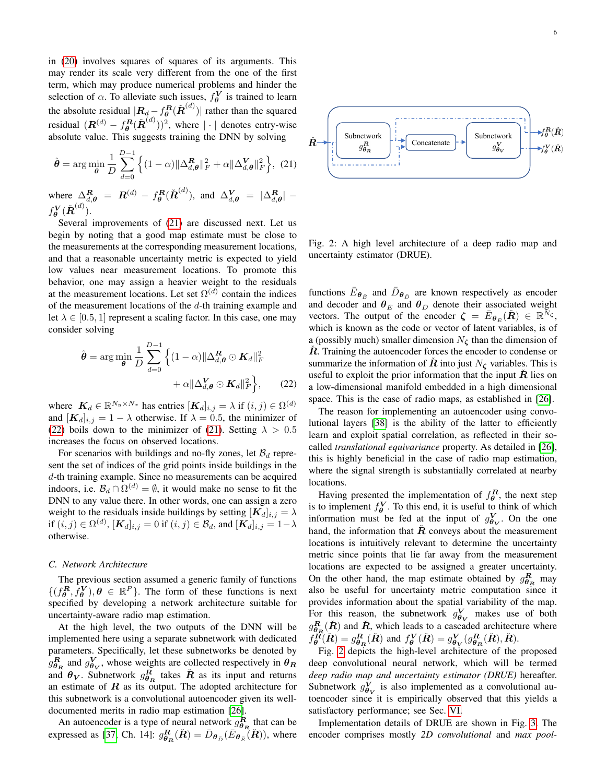in [\(20\)](#page-4-4) involves squares of squares of its arguments. This may render its scale very different from the one of the first term, which may produce numerical problems and hinder the selection of  $\alpha$ . To alleviate such issues,  $f_{\theta}^{V}$  is trained to learn the absolute residual  $|\mathbf{R}_{d} - f_{\theta}^{\mathbf{R}}(\check{\mathbf{R}}^{(d)})|$  rather than the squared residual  $(\boldsymbol{R}^{(d)} - f^{ \boldsymbol{R} }_{\boldsymbol{\theta}}(\check{\boldsymbol{R}}^{(d)}))^2$ , where  $|\cdot|$  denotes entry-wise absolute value. This suggests training the DNN by solving

$$
\hat{\boldsymbol{\theta}} = \arg\min_{\boldsymbol{\theta}} \frac{1}{D} \sum_{d=0}^{D-1} \left\{ (1-\alpha) \|\Delta_{d,\boldsymbol{\theta}}^{\boldsymbol{R}}\|_{F}^{2} + \alpha \|\Delta_{d,\boldsymbol{\theta}}^{\boldsymbol{V}}\|_{F}^{2} \right\}, (21)
$$

where  $\Delta_{d,\theta}^R = R^{(d)} - f_{\theta}^R(\check{R}^{(d)}),$  and  $\Delta_{d,\theta}^V = |\Delta_{d,\theta}^R|$   $f^{\bm{V}}_{\bm{\theta}}(\check{\bm{R}}^{(d)}).$ 

Several improvements of [\(21\)](#page-5-0) are discussed next. Let us begin by noting that a good map estimate must be close to the measurements at the corresponding measurement locations, and that a reasonable uncertainty metric is expected to yield low values near measurement locations. To promote this behavior, one may assign a heavier weight to the residuals at the measurement locations. Let set  $\Omega^{(d)}$  contain the indices of the measurement locations of the  $d$ -th training example and let  $\lambda \in [0.5, 1]$  represent a scaling factor. In this case, one may consider solving

$$
\hat{\boldsymbol{\theta}} = \arg\min_{\boldsymbol{\theta}} \frac{1}{D} \sum_{d=0}^{D-1} \left\{ (1-\alpha) ||\Delta_{d,\boldsymbol{\theta}}^{\boldsymbol{R}} \odot \mathbf{K}_d||_F^2 + \alpha ||\Delta_{d,\boldsymbol{\theta}}^{\boldsymbol{V}} \odot \mathbf{K}_d||_F^2 \right\}, \qquad (22)
$$

where  $K_d \in \mathbb{R}^{N_y \times N_x}$  has entries  $[K_d]_{i,j} = \lambda$  if  $(i,j) \in \Omega^{(d)}$ and  $[K_d]_{i,j} = 1 - \lambda$  otherwise. If  $\lambda = 0.5$ , the minimizer of [\(22\)](#page-5-1) boils down to the minimizer of [\(21\)](#page-5-0). Setting  $\lambda > 0.5$ increases the focus on observed locations.

For scenarios with buildings and no-fly zones, let  $\mathcal{B}_d$  represent the set of indices of the grid points inside buildings in the d-th training example. Since no measurements can be acquired indoors, i.e.  $\mathcal{B}_d \cap \Omega^{(d)} = \emptyset$ , it would make no sense to fit the DNN to any value there. In other words, one can assign a zero weight to the residuals inside buildings by setting  $[K_d]_{i,j} = \lambda$ if  $(i, j) \in \Omega^{(d)}$ ,  $[\mathbf{K}_d]_{i,j} = 0$  if  $(i, j) \in \mathcal{B}_d$ , and  $[\mathbf{K}_d]_{i,j} = 1 - \lambda$ otherwise.

### *C. Network Architecture*

The previous section assumed a generic family of functions  $\{(f_{\theta}^R, \bar{f}_{\theta}^V), \theta \in \mathbb{R}^P\}$ . The form of these functions is next specified by developing a network architecture suitable for uncertainty-aware radio map estimation.

At the high level, the two outputs of the DNN will be implemented here using a separate subnetwork with dedicated parameters. Specifically, let these subnetworks be denoted by  $g_{\theta_R}^R$  and  $g_{\theta_V}^V$ , whose weights are collected respectively in  $\theta_R$ and  $\theta_V$ . Subnetwork  $g_{\theta_R}^R$  takes  $\tilde{R}$  as its input and returns an estimate of  $R$  as its output. The adopted architecture for this subnetwork is a convolutional autoencoder given its welldocumented merits in radio map estimation [\[26\]](#page-12-20).

An autoencoder is a type of neural network  $g_{\theta_R}^R$  that can be expressed as [\[37,](#page-12-30) Ch. 14]:  $g_{\theta_R}^R(\check{R}) = \bar{D}_{\theta_{\bar{D}}}(\bar{E}_{\theta_{\bar{E}}}(\check{R}))$ , where

<span id="page-5-2"></span><span id="page-5-0"></span>

Fig. 2: A high level architecture of a deep radio map and uncertainty estimator (DRUE).

functions  $\bar{E}_{\theta_{\bar{E}}}$  and  $\bar{D}_{\theta_{\bar{D}}}$  are known respectively as encoder and decoder and  $\theta_{\bar{E}}$  and  $\theta_{\bar{D}}$  denote their associated weight vectors. The output of the encoder  $\zeta = \bar{E}_{\theta_{\bar{E}}}(\tilde{R}) \in \mathbb{R}^{\bar{N}_{\zeta}}$ , which is known as the code or vector of latent variables, is of a (possibly much) smaller dimension  $N_{\zeta}$  than the dimension of  $R$ . Training the autoencoder forces the encoder to condense or summarize the information of  $\hat{R}$  into just  $N_{\zeta}$  variables. This is useful to exploit the prior information that the input  $R$  lies on a low-dimensional manifold embedded in a high dimensional space. This is the case of radio maps, as established in [\[26\]](#page-12-20).

<span id="page-5-1"></span>The reason for implementing an autoencoder using convolutional layers [\[38\]](#page-12-31) is the ability of the latter to efficiently learn and exploit spatial correlation, as reflected in their socalled *translational equivariance* property. As detailed in [\[26\]](#page-12-20), this is highly beneficial in the case of radio map estimation, where the signal strength is substantially correlated at nearby locations.

Having presented the implementation of  $f_{\theta}^R$ , the next step is to implement  $f_{\theta}^{\mathbf{V}}$ . To this end, it is useful to think of which information must be fed at the input of  $g_{\theta V}^V$ . On the one hand, the information that  $R$  conveys about the measurement locations is intuitively relevant to determine the uncertainty metric since points that lie far away from the measurement locations are expected to be assigned a greater uncertainty. On the other hand, the map estimate obtained by  $g_{\theta_R}^R$  may also be useful for uncertainty metric computation since it provides information about the spatial variability of the map. For this reason, the subnetwork  $g_{\theta V}^V$  makes use of both  $g_{\theta_R}^R(\check{R})$  and  $\check{R}$ , which leads to a cascaded architecture where  $f_{\theta}^{\vec{R}}(\check{R}) = g_{\theta_R}^R(\check{R})$  and  $f_{\theta}^V(\check{R}) = g_{\theta_V}^V(g_{\theta_R}^R(\check{R}), \check{R})$ .

Fig. [2](#page-5-2) depicts the high-level architecture of the proposed deep convolutional neural network, which will be termed *deep radio map and uncertainty estimator (DRUE)* hereafter. Subnetwork  $g_{\theta V}^{V}$  is also implemented as a convolutional autoencoder since it is empirically observed that this yields a satisfactory performance; see Sec. [VI.](#page-8-0)

Implementation details of DRUE are shown in Fig. [3.](#page-6-1) The encoder comprises mostly *2D convolutional* and *max pool-*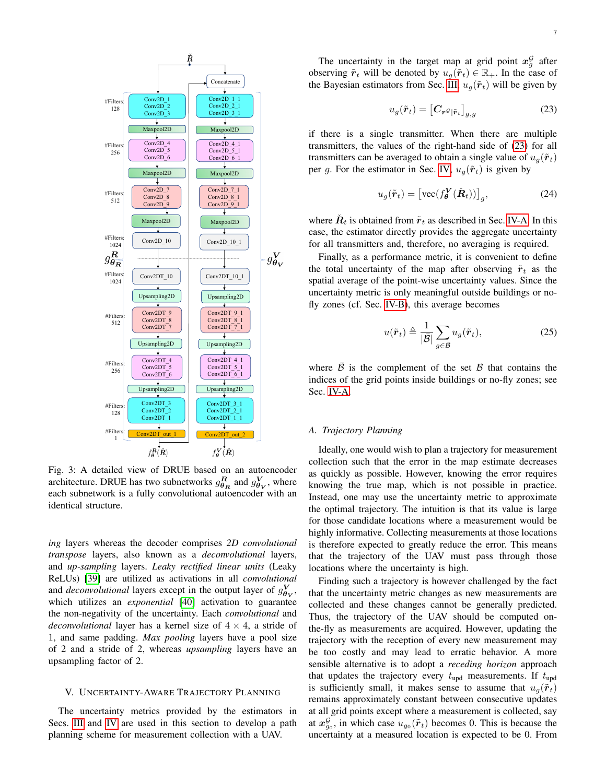<span id="page-6-1"></span>

Fig. 3: A detailed view of DRUE based on an autoencoder architecture. DRUE has two subnetworks  $g_{\theta_R}^R$  and  $g_{\theta_V}^V$ , where each subnetwork is a fully convolutional autoencoder with an identical structure.

*ing* layers whereas the decoder comprises *2D convolutional transpose* layers, also known as a *deconvolutional* layers, and *up-sampling* layers. *Leaky rectified linear units* (Leaky ReLUs) [\[39\]](#page-13-0) are utilized as activations in all *convolutional* and *deconvolutional* layers except in the output layer of  $g_{\theta_V}^V$ , which utilizes an *exponential* [\[40\]](#page-13-1) activation to guarantee the non-negativity of the uncertainty. Each *convolutional* and *deconvolutional* layer has a kernel size of  $4 \times 4$ , a stride of 1, and same padding. *Max pooling* layers have a pool size of 2 and a stride of 2, whereas *upsampling* layers have an upsampling factor of 2.

#### <span id="page-6-0"></span>V. UNCERTAINTY-AWARE TRAJECTORY PLANNING

The uncertainty metrics provided by the estimators in Secs. [III](#page-1-1) and [IV](#page-3-0) are used in this section to develop a path planning scheme for measurement collection with a UAV.

 $\frac{\text{Concatenate}}{\text{Concatenate}}}$  the Bayesian estimators from Sec. [III,](#page-1-1)  $u_g(\tilde{\boldsymbol{r}}_t)$  will be given by The uncertainty in the target map at grid point  $x_g^{\mathcal{G}}$  after observing  $\tilde{r}_t$  will be denoted by  $u_g(\tilde{r}_t) \in \mathbb{R}_+$ . In the case of

<span id="page-6-2"></span>
$$
u_g(\tilde{\boldsymbol{r}}_t) = \left[ \boldsymbol{C}_{\boldsymbol{r}} s_{|\tilde{\boldsymbol{r}}_t} \right]_{g,g} \tag{23}
$$

 $\frac{\text{Maxpool2D}}{\downarrow}$  Maxpool2D if there is a single transmitter. When there are multiple  $\frac{1}{\text{Maxpool2D}}$  axpool2D per g. For the estimator in Sec. [IV,](#page-3-0)  $u_g(\tilde{r}_t)$  is given by  $\frac{\text{Conv2D}_4}{\text{Conv2D}_5}$  [1 ] transmitters, the values of the right-hand side of [\(23\)](#page-6-2) for all  $\frac{\text{Conv2D}_6(1)}{(\hat{\mathbf{r}}_t)(\hat{\mathbf{r}}_t)}$  transmitters can be averaged to obtain a single value of  $u_g(\tilde{\mathbf{r}}_t)$ 

$$
u_g(\tilde{\boldsymbol{r}}_t) = \left[ \text{vec}(f_{\boldsymbol{\theta}}^{\boldsymbol{V}}(\tilde{\boldsymbol{R}}_t)) \right]_g, \tag{24}
$$

Maxpool2D Maxpool2D where  $\check{R}_t$  is obtained from  $\tilde{r}_t$  as described in Sec. [IV-A.](#page-3-4) In this  $\begin{bmatrix} \text{Conv2D\_10} \\ \text{Conv2D\_10\_1} \end{bmatrix}$   $\begin{bmatrix} \text{Conv2D\_10\_1} \\ \text{Conv2D\_10\_1} \end{bmatrix}$  for all transmitters and, therefore, no averaging is required. case, the estimator directly provides the aggregate uncertainty

 $\overline{\text{Conv2DT}_10}$   $\overline{\text{Conv2DT}_10_1}$  spatial average of the point-wise uncertainty values. Since the  $\overline{U_{\text{Psampling2D}}}$  Upsampling2D uncertainty metric is only meaningful outside buildings or no-Finally, as a performance metric, it is convenient to define the total uncertainty of the map after observing  $\tilde{r}_t$  as the fly zones (cf. Sec. [IV-B\)](#page-4-5), this average becomes

<span id="page-6-3"></span>
$$
u(\tilde{\boldsymbol{r}}_t) \triangleq \frac{1}{|\bar{\mathcal{B}}|} \sum_{g \in \bar{\mathcal{B}}} u_g(\tilde{\boldsymbol{r}}_t),
$$
\n(25)

Conv2DT\_5\_1 where  $\overline{B}$  is the complement of the set B that contains the  $\frac{\text{Conv2DT}_6}{\downarrow}$  indices of the grid points inside buildings or no-fly zones; see

<span id="page-6-4"></span>Ideally, one would wish to plan a trajectory for measurement collection such that the error in the map estimate decreases as quickly as possible. However, knowing the error requires knowing the true map, which is not possible in practice. Instead, one may use the uncertainty metric to approximate the optimal trajectory. The intuition is that its value is large for those candidate locations where a measurement would be highly informative. Collecting measurements at those locations is therefore expected to greatly reduce the error. This means that the trajectory of the UAV must pass through those locations where the uncertainty is high.

Finding such a trajectory is however challenged by the fact that the uncertainty metric changes as new measurements are collected and these changes cannot be generally predicted. Thus, the trajectory of the UAV should be computed onthe-fly as measurements are acquired. However, updating the trajectory with the reception of every new measurement may be too costly and may lead to erratic behavior. A more sensible alternative is to adopt a *receding horizon* approach that updates the trajectory every  $t_{\text{upd}}$  measurements. If  $t_{\text{upd}}$ is sufficiently small, it makes sense to assume that  $u_q(\tilde{r}_t)$ remains approximately constant between consecutive updates at all grid points except where a measurement is collected, say at  $x_{g_0}^{\mathcal{G}}$ , in which case  $u_{g_0}(\tilde{r}_t)$  becomes 0. This is because the uncertainty at a measured location is expected to be 0. From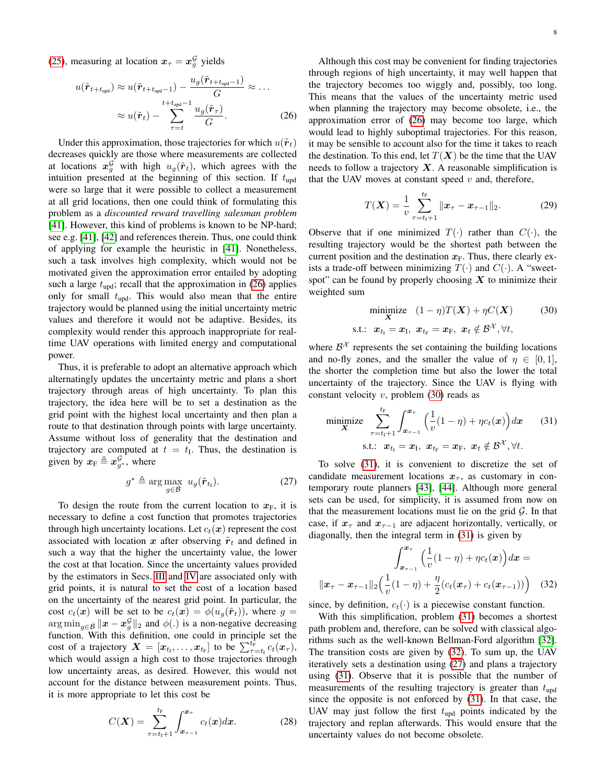[\(25\)](#page-6-3), measuring at location  $x_{\tau} = x_g^{\mathcal{G}}$  yields

$$
u(\tilde{\boldsymbol{r}}_{t+t_{\text{upd}}}) \approx u(\tilde{\boldsymbol{r}}_{t+t_{\text{upd}}-1}) - \frac{u_g(\tilde{\boldsymbol{r}}_{t+t_{\text{upd}}-1})}{G} \approx \dots
$$

$$
\approx u(\tilde{\boldsymbol{r}}_t) - \sum_{\tau=t}^{t+t_{\text{upd}}-1} \frac{u_g(\tilde{\boldsymbol{r}}_{\tau})}{G}.
$$
(26)

Under this approximation, those trajectories for which  $u(\tilde{r}_t)$ decreases quickly are those where measurements are collected at locations  $x_g^{\mathcal{G}}$  with high  $u_g(\tilde{r}_t)$ , which agrees with the intuition presented at the beginning of this section. If  $t_{\text{upd}}$ were so large that it were possible to collect a measurement at all grid locations, then one could think of formulating this problem as a *discounted reward travelling salesman problem* [\[41\]](#page-13-2). However, this kind of problems is known to be NP-hard; see e.g. [\[41\]](#page-13-2), [\[42\]](#page-13-3) and references therein. Thus, one could think of applying for example the heuristic in [\[41\]](#page-13-2). Nonetheless, such a task involves high complexity, which would not be motivated given the approximation error entailed by adopting such a large  $t_{\text{upd}}$ ; recall that the approximation in [\(26\)](#page-7-0) applies only for small  $t_{\text{upd}}$ . This would also mean that the entire trajectory would be planned using the initial uncertainty metric values and therefore it would not be adaptive. Besides, its complexity would render this approach inappropriate for realtime UAV operations with limited energy and computational power.

Thus, it is preferable to adopt an alternative approach which alternatingly updates the uncertainty metric and plans a short trajectory through areas of high uncertainty. To plan this trajectory, the idea here will be to set a destination as the grid point with the highest local uncertainty and then plan a route to that destination through points with large uncertainty. Assume without loss of generality that the destination and trajectory are computed at  $t = t<sub>I</sub>$ . Thus, the destination is given by  $x_F \triangleq x_{g^*}^{\mathcal{G}}$ , where

$$
g^* \triangleq \arg \max_{g \in \bar{\mathcal{B}}} u_g(\tilde{\boldsymbol{r}}_{t_1}). \tag{27}
$$

To design the route from the current location to  $x_F$ , it is necessary to define a cost function that promotes trajectories through high uncertainty locations. Let  $c_t(x)$  represent the cost associated with location x after observing  $\tilde{r}_t$  and defined in such a way that the higher the uncertainty value, the lower the cost at that location. Since the uncertainty values provided by the estimators in Secs. [III](#page-1-1) and [IV](#page-3-0) are associated only with grid points, it is natural to set the cost of a location based on the uncertainty of the nearest grid point. In particular, the cost  $c_t(x)$  will be set to be  $c_t(x) = \phi(u_q(\tilde{r}_t))$ , where  $g =$  $\arg \min_{g \in \bar{\mathcal{B}}} ||x - x_g^{\mathcal{G}}||_2$  and  $\phi(.)$  is a non-negative decreasing function. With this definition, one could in principle set the cost of a trajectory  $\boldsymbol{X} = [\boldsymbol{x}_{t_1}, \dots, \boldsymbol{x}_{t_F}]$  to be  $\sum_{\tau=t_1}^{t_F} c_t(\boldsymbol{x}_{\tau}),$ which would assign a high cost to those trajectories through low uncertainty areas, as desired. However, this would not account for the distance between measurement points. Thus, it is more appropriate to let this cost be

$$
C(\mathbf{X}) = \sum_{\tau=t_1+1}^{t_{\rm F}} \int_{x_{\tau-1}}^{x_{\tau}} c_t(x) dx.
$$
 (28)

<span id="page-7-0"></span>Although this cost may be convenient for finding trajectories through regions of high uncertainty, it may well happen that the trajectory becomes too wiggly and, possibly, too long. This means that the values of the uncertainty metric used when planning the trajectory may become obsolete, i.e., the approximation error of [\(26\)](#page-7-0) may become too large, which would lead to highly suboptimal trajectories. For this reason, it may be sensible to account also for the time it takes to reach the destination. To this end, let  $T(X)$  be the time that the UAV needs to follow a trajectory  $X$ . A reasonable simplification is that the UAV moves at constant speed  $v$  and, therefore,

$$
T(\boldsymbol{X}) = \frac{1}{v} \sum_{\tau=t_1+1}^{t_{\rm F}} ||\boldsymbol{x}_{\tau} - \boldsymbol{x}_{\tau-1}||_2.
$$
 (29)

Observe that if one minimized  $T(\cdot)$  rather than  $C(\cdot)$ , the resulting trajectory would be the shortest path between the current position and the destination  $x_F$ . Thus, there clearly exists a trade-off between minimizing  $T(\cdot)$  and  $C(\cdot)$ . A "sweetspot" can be found by properly choosing  $X$  to minimize their weighted sum

<span id="page-7-1"></span>
$$
\begin{array}{ll}\n\text{minimize} & (1 - \eta)T(\boldsymbol{X}) + \eta C(\boldsymbol{X}) \tag{30} \\
\text{s.t.:} & \boldsymbol{x}_{t_1} = \boldsymbol{x}_1, \ \boldsymbol{x}_{t_F} = \boldsymbol{x}_F, \ \boldsymbol{x}_t \notin \mathcal{B}^{\mathcal{X}}, \forall t,\n\end{array}
$$

where  $\beta^{\mathcal{X}}$  represents the set containing the building locations and no-fly zones, and the smaller the value of  $\eta \in [0, 1]$ , the shorter the completion time but also the lower the total uncertainty of the trajectory. Since the UAV is flying with constant velocity  $v$ , problem [\(30\)](#page-7-1) reads as

<span id="page-7-2"></span>
$$
\begin{aligned}\n\text{minimize} \quad & \sum_{\tau=t_1+1}^{t_F} \int_{\mathbf{x}_{\tau-1}}^{\mathbf{x}_{\tau}} \Big( \frac{1}{v} (1-\eta) + \eta c_t(\mathbf{x}) \Big) d\mathbf{x} \qquad (31) \\
\text{s.t.:} \quad & \mathbf{x}_{t_1} = \mathbf{x}_1, \ \mathbf{x}_{t_F} = \mathbf{x}_F, \ \mathbf{x}_t \notin \mathcal{B}^{\mathcal{X}}, \forall t.\n\end{aligned}
$$

<span id="page-7-4"></span>To solve [\(31\)](#page-7-2), it is convenient to discretize the set of candidate measurement locations  $x_{\tau}$ , as customary in contemporary route planners [\[43\]](#page-13-4), [\[44\]](#page-13-5). Although more general sets can be used, for simplicity, it is assumed from now on that the measurement locations must lie on the grid  $G$ . In that case, if  $x_{\tau}$  and  $x_{\tau-1}$  are adjacent horizontally, vertically, or diagonally, then the integral term in [\(31\)](#page-7-2) is given by

<span id="page-7-3"></span>
$$
\int_{x_{\tau-1}}^{x_{\tau}} \left( \frac{1}{v} (1 - \eta) + \eta c_t(x) \right) dx =
$$

$$
||x_{\tau} - x_{\tau-1}||_2 \left( \frac{1}{v} (1 - \eta) + \frac{\eta}{2} (c_t(x_{\tau}) + c_t(x_{\tau-1})) \right) \quad (32)
$$

since, by definition,  $c_t(\cdot)$  is a piecewise constant function.

With this simplification, problem [\(31\)](#page-7-2) becomes a shortest path problem and, therefore, can be solved with classical algorithms such as the well-known Bellman-Ford algorithm [\[32\]](#page-12-24). The transition costs are given by [\(32\)](#page-7-3). To sum up, the UAV iteratively sets a destination using [\(27\)](#page-7-4) and plans a trajectory using [\(31\)](#page-7-2). Observe that it is possible that the number of measurements of the resulting trajectory is greater than  $t_{\text{und}}$ since the opposite is not enforced by [\(31\)](#page-7-2). In that case, the UAV may just follow the first  $t_{\text{upd}}$  points indicated by the trajectory and replan afterwards. This would ensure that the uncertainty values do not become obsolete.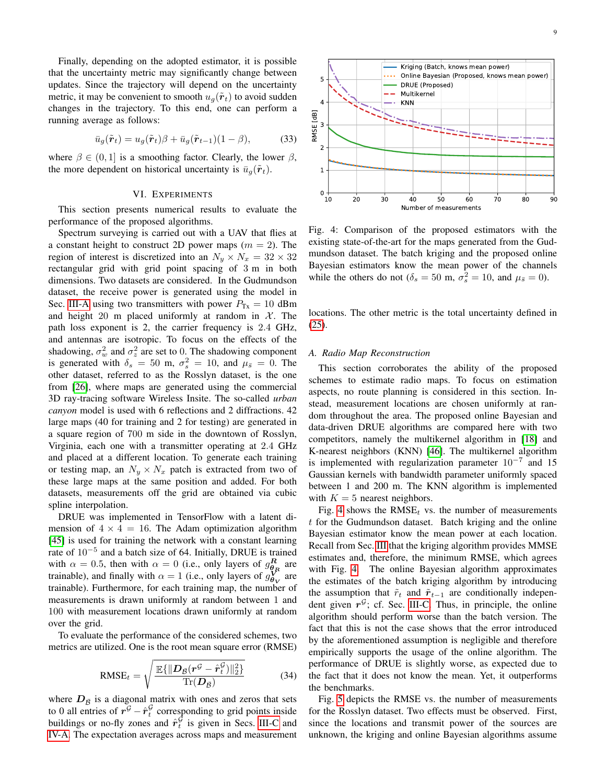Finally, depending on the adopted estimator, it is possible that the uncertainty metric may significantly change between updates. Since the trajectory will depend on the uncertainty metric, it may be convenient to smooth  $u_q(\tilde{r}_t)$  to avoid sudden changes in the trajectory. To this end, one can perform a running average as follows:

$$
\bar{u}_g(\tilde{\boldsymbol{r}}_t) = u_g(\tilde{\boldsymbol{r}}_t)\beta + \bar{u}_g(\tilde{\boldsymbol{r}}_{t-1})(1-\beta),\tag{33}
$$

where  $\beta \in (0, 1]$  is a smoothing factor. Clearly, the lower  $\beta$ , the more dependent on historical uncertainty is  $\bar{u}_q(\tilde{r}_t)$ .

#### VI. EXPERIMENTS

<span id="page-8-0"></span>This section presents numerical results to evaluate the performance of the proposed algorithms.

Spectrum surveying is carried out with a UAV that flies at a constant height to construct 2D power maps  $(m = 2)$ . The region of interest is discretized into an  $N_y \times N_x = 32 \times 32$ rectangular grid with grid point spacing of 3 m in both dimensions. Two datasets are considered. In the Gudmundson dataset, the receive power is generated using the model in Sec. [III-A](#page-1-3) using two transmitters with power  $P_{Tx} = 10$  dBm and height 20 m placed uniformly at random in  $\mathcal{X}$ . The path loss exponent is 2, the carrier frequency is 2.4 GHz, and antennas are isotropic. To focus on the effects of the shadowing,  $\sigma_w^2$  and  $\sigma_z^2$  are set to 0. The shadowing component is generated with  $\delta_s = 50$  m,  $\sigma_s^2 = 10$ , and  $\mu_{\bar{s}} = 0$ . The other dataset, referred to as the Rosslyn dataset, is the one from [\[26\]](#page-12-20), where maps are generated using the commercial 3D ray-tracing software Wireless Insite. The so-called *urban canyon* model is used with 6 reflections and 2 diffractions. 42 large maps (40 for training and 2 for testing) are generated in a square region of 700 m side in the downtown of Rosslyn, Virginia, each one with a transmitter operating at 2.4 GHz and placed at a different location. To generate each training or testing map, an  $N_y \times N_x$  patch is extracted from two of these large maps at the same position and added. For both datasets, measurements off the grid are obtained via cubic spline interpolation.

DRUE was implemented in TensorFlow with a latent dimension of  $4 \times 4 = 16$ . The Adam optimization algorithm [\[45\]](#page-13-6) is used for training the network with a constant learning rate of 10<sup>−</sup><sup>5</sup> and a batch size of 64. Initially, DRUE is trained with  $\alpha = 0.5$ , then with  $\alpha = 0$  (i.e., only layers of  $g_{\mathbf{q}_R}^R$  are trainable), and finally with  $\alpha = 1$  (i.e., only layers of  $g_{\theta_V}^{\mathbf{V}}$  are trainable). Furthermore, for each training map, the number of measurements is drawn uniformly at random between 1 and 100 with measurement locations drawn uniformly at random over the grid.

To evaluate the performance of the considered schemes, two metrics are utilized. One is the root mean square error (RMSE)

$$
\text{RMSE}_{t} = \sqrt{\frac{\mathbb{E}\{\|\mathbf{D}_{\bar{\mathcal{B}}}(\mathbf{r}^{\mathcal{G}} - \hat{\mathbf{r}}_{t}^{\mathcal{G}})\|_{2}^{2}\}}{\text{Tr}(\mathbf{D}_{\bar{\mathcal{B}}})}}
$$
(34)

where  $D_{\bar{\beta}}$  is a diagonal matrix with ones and zeros that sets to 0 all entries of  $\vec{r}^{\mathcal{G}} - \hat{r}^{\mathcal{G}}_t$  corresponding to grid points inside buildings or no-fly zones and  $\hat{r}_t^{\hat{G}}$  is given in Secs. [III-C](#page-2-6) and [IV-A.](#page-3-4) The expectation averages across maps and measurement

<span id="page-8-1"></span>

Fig. 4: Comparison of the proposed estimators with the existing state-of-the-art for the maps generated from the Gudmundson dataset. The batch kriging and the proposed online Bayesian estimators know the mean power of the channels while the others do not ( $\delta_s = 50$  m,  $\sigma_s^2 = 10$ , and  $\mu_{\bar{s}} = 0$ ).

locations. The other metric is the total uncertainty defined in [\(25\)](#page-6-3).

#### *A. Radio Map Reconstruction*

This section corroborates the ability of the proposed schemes to estimate radio maps. To focus on estimation aspects, no route planning is considered in this section. Instead, measurement locations are chosen uniformly at random throughout the area. The proposed online Bayesian and data-driven DRUE algorithms are compared here with two competitors, namely the multikernel algorithm in [\[18\]](#page-12-14) and K-nearest neighbors (KNN) [\[46\]](#page-13-7). The multikernel algorithm is implemented with regularization parameter  $10^{-7}$  and 15 Gaussian kernels with bandwidth parameter uniformly spaced between 1 and 200 m. The KNN algorithm is implemented with  $K = 5$  nearest neighbors.

Fig. [4](#page-8-1) shows the  $RMSE_t$  vs. the number of measurements  $t$  for the Gudmundson dataset. Batch kriging and the online Bayesian estimator know the mean power at each location. Recall from Sec. [III](#page-1-1) that the kriging algorithm provides MMSE estimates and, therefore, the minimum RMSE, which agrees with Fig. [4.](#page-8-1) The online Bayesian algorithm approximates the estimates of the batch kriging algorithm by introducing the assumption that  $\tilde{r}_t$  and  $\tilde{r}_{t-1}$  are conditionally independent given  $r^{\mathcal{G}}$ ; cf. Sec. [III-C.](#page-2-6) Thus, in principle, the online algorithm should perform worse than the batch version. The fact that this is not the case shows that the error introduced by the aforementioned assumption is negligible and therefore empirically supports the usage of the online algorithm. The performance of DRUE is slightly worse, as expected due to the fact that it does not know the mean. Yet, it outperforms the benchmarks.

Fig. [5](#page-9-0) depicts the RMSE vs. the number of measurements for the Rosslyn dataset. Two effects must be observed. First, since the locations and transmit power of the sources are unknown, the kriging and online Bayesian algorithms assume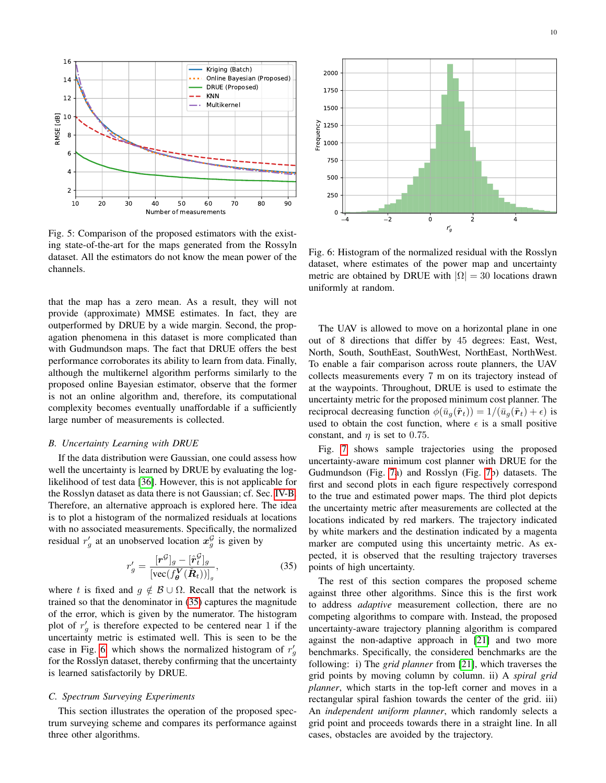<span id="page-9-0"></span>

Fig. 5: Comparison of the proposed estimators with the existing state-of-the-art for the maps generated from the Rossyln dataset. All the estimators do not know the mean power of the channels.

that the map has a zero mean. As a result, they will not provide (approximate) MMSE estimates. In fact, they are outperformed by DRUE by a wide margin. Second, the propagation phenomena in this dataset is more complicated than with Gudmundson maps. The fact that DRUE offers the best performance corroborates its ability to learn from data. Finally, although the multikernel algorithm performs similarly to the proposed online Bayesian estimator, observe that the former is not an online algorithm and, therefore, its computational complexity becomes eventually unaffordable if a sufficiently large number of measurements is collected.

#### *B. Uncertainty Learning with DRUE*

If the data distribution were Gaussian, one could assess how well the uncertainty is learned by DRUE by evaluating the loglikelihood of test data [\[36\]](#page-12-29). However, this is not applicable for the Rosslyn dataset as data there is not Gaussian; cf. Sec. [IV-B.](#page-4-5) Therefore, an alternative approach is explored here. The idea is to plot a histogram of the normalized residuals at locations with no associated measurements. Specifically, the normalized residual  $r'_g$  at an unobserved location  $x_g^{\mathcal{G}}$  is given by

$$
r'_{g} = \frac{[\mathbf{r}^{\mathcal{G}}]_{g} - [\hat{\mathbf{r}}_{t}^{\mathcal{G}}]_{g}}{\left[\text{vec}(f_{\boldsymbol{\theta}}^{\mathcal{V}}(\tilde{\boldsymbol{R}}_{t}))\right]_{g}},\tag{35}
$$

where t is fixed and  $g \notin \mathcal{B} \cup \Omega$ . Recall that the network is trained so that the denominator in [\(35\)](#page-9-1) captures the magnitude of the error, which is given by the numerator. The histogram plot of  $r'_g$  is therefore expected to be centered near 1 if the uncertainty metric is estimated well. This is seen to be the case in Fig. [6,](#page-9-2) which shows the normalized histogram of  $r'_g$ for the Rosslyn dataset, thereby confirming that the uncertainty is learned satisfactorily by DRUE.

# *C. Spectrum Surveying Experiments*

This section illustrates the operation of the proposed spectrum surveying scheme and compares its performance against three other algorithms.

<span id="page-9-2"></span>

Fig. 6: Histogram of the normalized residual with the Rosslyn dataset, where estimates of the power map and uncertainty metric are obtained by DRUE with  $|\Omega| = 30$  locations drawn uniformly at random.

The UAV is allowed to move on a horizontal plane in one out of 8 directions that differ by 45 degrees: East, West, North, South, SouthEast, SouthWest, NorthEast, NorthWest. To enable a fair comparison across route planners, the UAV collects measurements every 7 m on its trajectory instead of at the waypoints. Throughout, DRUE is used to estimate the uncertainty metric for the proposed minimum cost planner. The reciprocal decreasing function  $\phi(\bar{u}_q(\tilde{r}_t)) = 1/(\bar{u}_q(\tilde{r}_t) + \epsilon)$  is used to obtain the cost function, where  $\epsilon$  is a small positive constant, and  $\eta$  is set to 0.75.

Fig. [7](#page-10-1) shows sample trajectories using the proposed uncertainty-aware minimum cost planner with DRUE for the Gudmundson (Fig. [7a](#page-10-1)) and Rosslyn (Fig. [7b](#page-10-1)) datasets. The first and second plots in each figure respectively correspond to the true and estimated power maps. The third plot depicts the uncertainty metric after measurements are collected at the locations indicated by red markers. The trajectory indicated by white markers and the destination indicated by a magenta marker are computed using this uncertainty metric. As expected, it is observed that the resulting trajectory traverses points of high uncertainty.

<span id="page-9-1"></span>The rest of this section compares the proposed scheme against three other algorithms. Since this is the first work to address *adaptive* measurement collection, there are no competing algorithms to compare with. Instead, the proposed uncertainty-aware trajectory planning algorithm is compared against the non-adaptive approach in [\[21\]](#page-12-16) and two more benchmarks. Specifically, the considered benchmarks are the following: i) The *grid planner* from [\[21\]](#page-12-16), which traverses the grid points by moving column by column. ii) A *spiral grid planner*, which starts in the top-left corner and moves in a rectangular spiral fashion towards the center of the grid. iii) An *independent uniform planner*, which randomly selects a grid point and proceeds towards there in a straight line. In all cases, obstacles are avoided by the trajectory.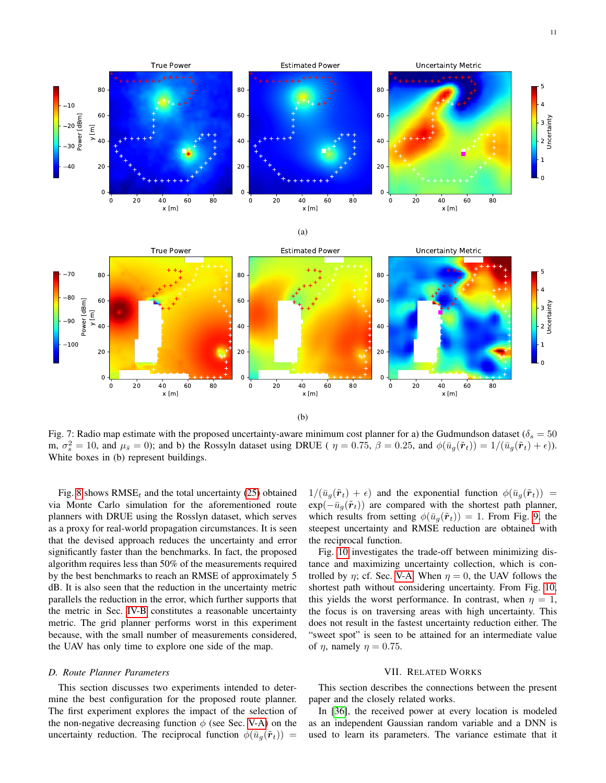<span id="page-10-1"></span>

Fig. 7: Radio map estimate with the proposed uncertainty-aware minimum cost planner for a) the Gudmundson dataset ( $\delta_s = 50$ m,  $\sigma_s^2 = 10$ , and  $\mu_{\bar{s}} = 0$ ); and b) the Rossyln dataset using DRUE (  $\eta = 0.75$ ,  $\beta = 0.25$ , and  $\phi(\bar{u}_g(\tilde{r}_t)) = 1/(\bar{u}_g(\tilde{r}_t) + \epsilon)$ ). White boxes in (b) represent buildings.

Fig. [8](#page-11-0) shows  $RMSE_t$  and the total uncertainty [\(25\)](#page-6-3) obtained via Monte Carlo simulation for the aforementioned route planners with DRUE using the Rosslyn dataset, which serves as a proxy for real-world propagation circumstances. It is seen that the devised approach reduces the uncertainty and error significantly faster than the benchmarks. In fact, the proposed algorithm requires less than 50% of the measurements required by the best benchmarks to reach an RMSE of approximately 5 dB. It is also seen that the reduction in the uncertainty metric parallels the reduction in the error, which further supports that the metric in Sec. [IV-B](#page-4-5) constitutes a reasonable uncertainty metric. The grid planner performs worst in this experiment because, with the small number of measurements considered, the UAV has only time to explore one side of the map.

#### *D. Route Planner Parameters*

This section discusses two experiments intended to determine the best configuration for the proposed route planner. The first experiment explores the impact of the selection of the non-negative decreasing function  $\phi$  (see Sec. [V-A\)](#page-6-4) on the uncertainty reduction. The reciprocal function  $\phi(\bar{u}_a(\tilde{r}_t))$  =

 $1/(\bar{u}_g(\tilde{r}_t) + \epsilon)$  and the exponential function  $\phi(\bar{u}_g(\tilde{r}_t)) =$  $exp(-\bar{u}_g(\tilde{r}_t))$  are compared with the shortest path planner, which results from setting  $\phi(\bar{u}_g(\tilde{r}_t)) = 1$ . From Fig. [9,](#page-11-1) the steepest uncertainty and RMSE reduction are obtained with the reciprocal function.

Fig. [10](#page-11-2) investigates the trade-off between minimizing distance and maximizing uncertainty collection, which is controlled by  $\eta$ ; cf. Sec. [V-A.](#page-6-4) When  $\eta = 0$ , the UAV follows the shortest path without considering uncertainty. From Fig. [10,](#page-11-2) this yields the worst performance. In contrast, when  $\eta = 1$ , the focus is on traversing areas with high uncertainty. This does not result in the fastest uncertainty reduction either. The "sweet spot" is seen to be attained for an intermediate value of  $\eta$ , namely  $\eta = 0.75$ .

#### VII. RELATED WORKS

<span id="page-10-0"></span>This section describes the connections between the present paper and the closely related works.

In [\[36\]](#page-12-29), the received power at every location is modeled as an independent Gaussian random variable and a DNN is used to learn its parameters. The variance estimate that it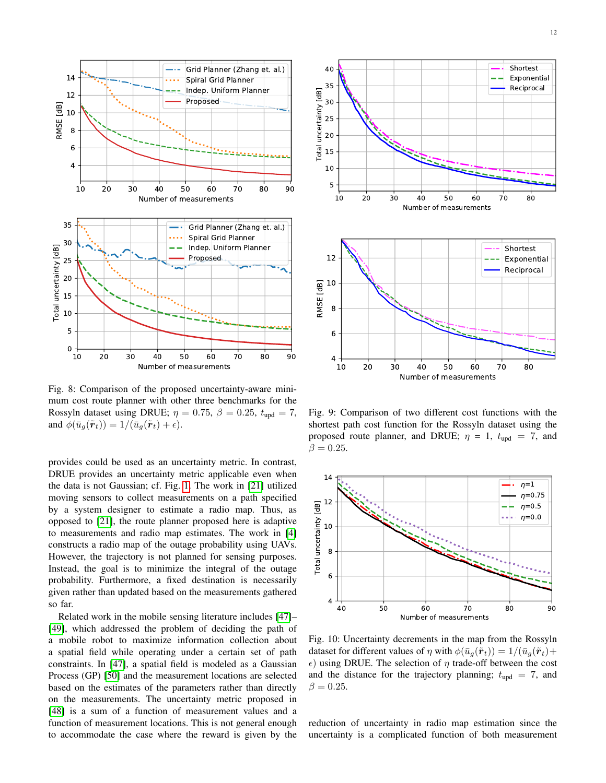<span id="page-11-0"></span>

Fig. 8: Comparison of the proposed uncertainty-aware minimum cost route planner with other three benchmarks for the Rossyln dataset using DRUE;  $\eta = 0.75$ ,  $\beta = 0.25$ ,  $t_{\text{upd}} = 7$ , and  $\phi(\bar{u}_q(\tilde{r}_t)) = 1/(\bar{u}_q(\tilde{r}_t) + \epsilon).$ 

provides could be used as an uncertainty metric. In contrast, DRUE provides an uncertainty metric applicable even when the data is not Gaussian; cf. Fig. [1.](#page-4-0) The work in [\[21\]](#page-12-16) utilized moving sensors to collect measurements on a path specified by a system designer to estimate a radio map. Thus, as opposed to [\[21\]](#page-12-16), the route planner proposed here is adaptive to measurements and radio map estimates. The work in [\[4\]](#page-12-2) constructs a radio map of the outage probability using UAVs. However, the trajectory is not planned for sensing purposes. Instead, the goal is to minimize the integral of the outage probability. Furthermore, a fixed destination is necessarily given rather than updated based on the measurements gathered so far.

Related work in the mobile sensing literature includes [\[47\]](#page-13-8)– [\[49\]](#page-13-9), which addressed the problem of deciding the path of a mobile robot to maximize information collection about a spatial field while operating under a certain set of path constraints. In [\[47\]](#page-13-8), a spatial field is modeled as a Gaussian Process (GP) [\[50\]](#page-13-10) and the measurement locations are selected based on the estimates of the parameters rather than directly on the measurements. The uncertainty metric proposed in [\[48\]](#page-13-11) is a sum of a function of measurement values and a function of measurement locations. This is not general enough to accommodate the case where the reward is given by the

<span id="page-11-1"></span>

Fig. 9: Comparison of two different cost functions with the shortest path cost function for the Rossyln dataset using the proposed route planner, and DRUE;  $\eta = 1$ ,  $t_{\text{upd}} = 7$ , and  $\beta = 0.25$ .

<span id="page-11-2"></span>

Fig. 10: Uncertainty decrements in the map from the Rossyln dataset for different values of  $\eta$  with  $\phi(\bar{u}_q(\tilde{r}_t)) = 1/(\bar{u}_q(\tilde{r}_t)) +$  $\epsilon$ ) using DRUE. The selection of  $\eta$  trade-off between the cost and the distance for the trajectory planning;  $t_{\text{upd}} = 7$ , and  $\beta = 0.25$ .

reduction of uncertainty in radio map estimation since the uncertainty is a complicated function of both measurement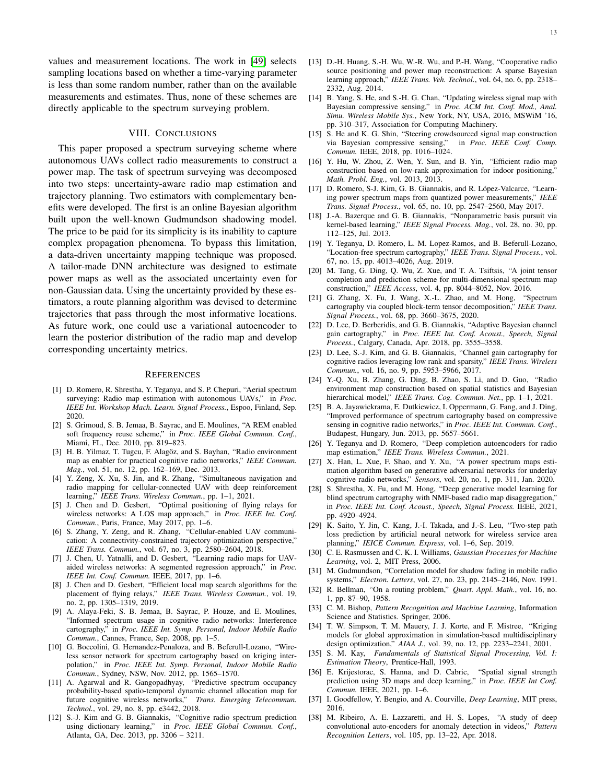values and measurement locations. The work in [\[49\]](#page-13-9) selects sampling locations based on whether a time-varying parameter is less than some random number, rather than on the available measurements and estimates. Thus, none of these schemes are directly applicable to the spectrum surveying problem.

# VIII. CONCLUSIONS

<span id="page-12-25"></span>This paper proposed a spectrum surveying scheme where autonomous UAVs collect radio measurements to construct a power map. The task of spectrum surveying was decomposed into two steps: uncertainty-aware radio map estimation and trajectory planning. Two estimators with complementary benefits were developed. The first is an online Bayesian algorithm built upon the well-known Gudmundson shadowing model. The price to be paid for its simplicity is its inability to capture complex propagation phenomena. To bypass this limitation, a data-driven uncertainty mapping technique was proposed. A tailor-made DNN architecture was designed to estimate power maps as well as the associated uncertainty even for non-Gaussian data. Using the uncertainty provided by these estimators, a route planning algorithm was devised to determine trajectories that pass through the most informative locations. As future work, one could use a variational autoencoder to learn the posterior distribution of the radio map and develop corresponding uncertainty metrics.

#### **REFERENCES**

- <span id="page-12-5"></span>[1] D. Romero, R. Shrestha, Y. Teganya, and S. P. Chepuri, "Aerial spectrum surveying: Radio map estimation with autonomous UAVs," in *Proc. IEEE Int. Workshop Mach. Learn. Signal Process.*, Espoo, Finland, Sep. 2020.
- <span id="page-12-0"></span>[2] S. Grimoud, S. B. Jemaa, B. Sayrac, and E. Moulines, "A REM enabled soft frequency reuse scheme," in *Proc. IEEE Global Commun. Conf.*, Miami, FL, Dec. 2010, pp. 819–823.
- <span id="page-12-1"></span>[3] H. B. Yilmaz, T. Tugcu, F. Alagöz, and S. Bayhan, "Radio environment map as enabler for practical cognitive radio networks," *IEEE Commun. Mag.*, vol. 51, no. 12, pp. 162–169, Dec. 2013.
- <span id="page-12-2"></span>[4] Y. Zeng, X. Xu, S. Jin, and R. Zhang, "Simultaneous navigation and radio mapping for cellular-connected UAV with deep reinforcement learning," *IEEE Trans. Wireless Commun.*, pp. 1–1, 2021.
- <span id="page-12-3"></span>[5] J. Chen and D. Gesbert, "Optimal positioning of flying relays for wireless networks: A LOS map approach," in *Proc. IEEE Int. Conf. Commun.*, Paris, France, May 2017, pp. 1–6.
- [6] S. Zhang, Y. Zeng, and R. Zhang, "Cellular-enabled UAV communication: A connectivity-constrained trajectory optimization perspective," *IEEE Trans. Commun.*, vol. 67, no. 3, pp. 2580–2604, 2018.
- [7] J. Chen, U. Yatnalli, and D. Gesbert, "Learning radio maps for UAVaided wireless networks: A segmented regression approach," in *Proc. IEEE Int. Conf. Commun.* IEEE, 2017, pp. 1–6.
- <span id="page-12-4"></span>[8] J. Chen and D. Gesbert, "Efficient local map search algorithms for the placement of flying relays," *IEEE Trans. Wireless Commun.*, vol. 19, no. 2, pp. 1305–1319, 2019.
- <span id="page-12-6"></span>[9] A. Alaya-Feki, S. B. Jemaa, B. Sayrac, P. Houze, and E. Moulines, "Informed spectrum usage in cognitive radio networks: Interference cartography," in *Proc. IEEE Int. Symp. Personal, Indoor Mobile Radio Commun.*, Cannes, France, Sep. 2008, pp. 1–5.
- [10] G. Boccolini, G. Hernandez-Penaloza, and B. Beferull-Lozano, "Wireless sensor network for spectrum cartography based on kriging interpolation," in *Proc. IEEE Int. Symp. Personal, Indoor Mobile Radio Commun.*, Sydney, NSW, Nov. 2012, pp. 1565–1570.
- <span id="page-12-7"></span>[11] A. Agarwal and R. Gangopadhyay, "Predictive spectrum occupancy probability-based spatio-temporal dynamic channel allocation map for future cognitive wireless networks," *Trans. Emerging Telecommun. Technol.*, vol. 29, no. 8, pp. e3442, 2018.
- <span id="page-12-8"></span>[12] S.-J. Kim and G. B. Giannakis, "Cognitive radio spectrum prediction using dictionary learning," in *Proc. IEEE Global Commun. Conf.*, Atlanta, GA, Dec. 2013, pp. 3206 – 3211.
- <span id="page-12-9"></span>[13] D.-H. Huang, S.-H. Wu, W.-R. Wu, and P.-H. Wang, "Cooperative radio source positioning and power map reconstruction: A sparse Bayesian learning approach," *IEEE Trans. Veh. Technol.*, vol. 64, no. 6, pp. 2318– 2332, Aug. 2014.
- [14] B. Yang, S. He, and S.-H. G. Chan, "Updating wireless signal map with Bayesian compressive sensing," in *Proc. ACM Int. Conf. Mod., Anal. Simu. Wireless Mobile Sys.*, New York, NY, USA, 2016, MSWiM '16, pp. 310–317, Association for Computing Machinery.
- <span id="page-12-10"></span>[15] S. He and K. G. Shin, "Steering crowdsourced signal map construction via Bayesian compressive sensing," in *Proc. IEEE Conf. Comp. Commun.* IEEE, 2018, pp. 1016–1024.
- <span id="page-12-11"></span>[16] Y. Hu, W. Zhou, Z. Wen, Y. Sun, and B. Yin, "Efficient radio map construction based on low-rank approximation for indoor positioning, *Math. Probl. Eng.*, vol. 2013, 2013.
- <span id="page-12-12"></span>[17] D. Romero, S-J. Kim, G. B. Giannakis, and R. López-Valcarce, "Learning power spectrum maps from quantized power measurements," *IEEE Trans. Signal Process.*, vol. 65, no. 10, pp. 2547–2560, May 2017.
- <span id="page-12-14"></span>[18] J.-A. Bazerque and G. B. Giannakis, "Nonparametric basis pursuit via kernel-based learning," *IEEE Signal Process. Mag.*, vol. 28, no. 30, pp. 112–125, Jul. 2013.
- <span id="page-12-13"></span>[19] Y. Teganya, D. Romero, L. M. Lopez-Ramos, and B. Beferull-Lozano, "Location-free spectrum cartography," *IEEE Trans. Signal Process.*, vol. 67, no. 15, pp. 4013–4026, Aug. 2019.
- <span id="page-12-15"></span>[20] M. Tang, G. Ding, Q. Wu, Z. Xue, and T. A. Tsiftsis, "A joint tensor completion and prediction scheme for multi-dimensional spectrum map construction," *IEEE Access*, vol. 4, pp. 8044–8052, Nov. 2016.
- <span id="page-12-16"></span>[21] G. Zhang, X. Fu, J. Wang, X.-L. Zhao, and M. Hong, "Spectrum cartography via coupled block-term tensor decomposition," *IEEE Trans. Signal Process.*, vol. 68, pp. 3660–3675, 2020.
- <span id="page-12-17"></span>[22] D. Lee, D. Berberidis, and G. B. Giannakis, "Adaptive Bayesian channel gain cartography," in *Proc. IEEE Int. Conf. Acoust., Speech, Signal Process.*, Calgary, Canada, Apr. 2018, pp. 3555–3558.
- [23] D. Lee, S.-J. Kim, and G. B. Giannakis, "Channel gain cartography for cognitive radios leveraging low rank and sparsity," *IEEE Trans. Wireless Commun.*, vol. 16, no. 9, pp. 5953–5966, 2017.
- <span id="page-12-18"></span>[24] Y.-Q. Xu, B. Zhang, G. Ding, B. Zhao, S. Li, and D. Guo, "Radio environment map construction based on spatial statistics and Bayesian hierarchical model," *IEEE Trans. Cog. Commun. Net.*, pp. 1–1, 2021.
- <span id="page-12-19"></span>[25] B. A. Jayawickrama, E. Dutkiewicz, I. Oppermann, G. Fang, and J. Ding, "Improved performance of spectrum cartography based on compressive sensing in cognitive radio networks," in *Proc. IEEE Int. Commun. Conf.*, Budapest, Hungary, Jun. 2013, pp. 5657–5661.
- <span id="page-12-20"></span>[26] Y. Teganya and D. Romero, "Deep completion autoencoders for radio map estimation," *IEEE Trans. Wireless Commun.*, 2021.
- [27] X. Han, L. Xue, F. Shao, and Y. Xu, "A power spectrum maps estimation algorithm based on generative adversarial networks for underlay cognitive radio networks," *Sensors*, vol. 20, no. 1, pp. 311, Jan. 2020.
- [28] S. Shrestha, X. Fu, and M. Hong, "Deep generative model learning for blind spectrum cartography with NMF-based radio map disaggregation," in *Proc. IEEE Int. Conf. Acoust., Speech, Signal Process.* IEEE, 2021, pp. 4920–4924.
- <span id="page-12-21"></span>[29] K. Saito, Y. Jin, C. Kang, J.-I. Takada, and J.-S. Leu, "Two-step path loss prediction by artificial neural network for wireless service area planning," *IEICE Commun. Express*, vol. 1–6, Sep. 2019.
- <span id="page-12-22"></span>[30] C. E. Rasmussen and C. K. I. Williams, *Gaussian Processes for Machine Learning*, vol. 2, MIT Press, 2006.
- <span id="page-12-23"></span>[31] M. Gudmundson, "Correlation model for shadow fading in mobile radio systems," *Electron. Letters*, vol. 27, no. 23, pp. 2145–2146, Nov. 1991.
- <span id="page-12-24"></span>[32] R. Bellman, "On a routing problem," *Quart. Appl. Math.*, vol. 16, no. 1, pp. 87–90, 1958.
- <span id="page-12-26"></span>[33] C. M. Bishop, *Pattern Recognition and Machine Learning*, Information Science and Statistics. Springer, 2006.
- <span id="page-12-27"></span>[34] T. W. Simpson, T. M. Mauery, J. J. Korte, and F. Mistree, "Kriging models for global approximation in simulation-based multidisciplinary design optimization," *AIAA J.*, vol. 39, no. 12, pp. 2233–2241, 2001.
- <span id="page-12-28"></span>[35] S. M. Kay, *Fundamentals of Statistical Signal Processing, Vol. I: Estimation Theory*, Prentice-Hall, 1993.
- <span id="page-12-29"></span>[36] E. Krijestorac, S. Hanna, and D. Cabric, "Spatial signal strength prediction using 3D maps and deep learning," in *Proc. IEEE Int Conf. Commun.* IEEE, 2021, pp. 1–6.
- <span id="page-12-30"></span>[37] I. Goodfellow, Y. Bengio, and A. Courville, *Deep Learning*, MIT press, 2016.
- <span id="page-12-31"></span>[38] M. Ribeiro, A. E. Lazzaretti, and H. S. Lopes, "A study of deep convolutional auto-encoders for anomaly detection in videos," *Pattern Recognition Letters*, vol. 105, pp. 13–22, Apr. 2018.